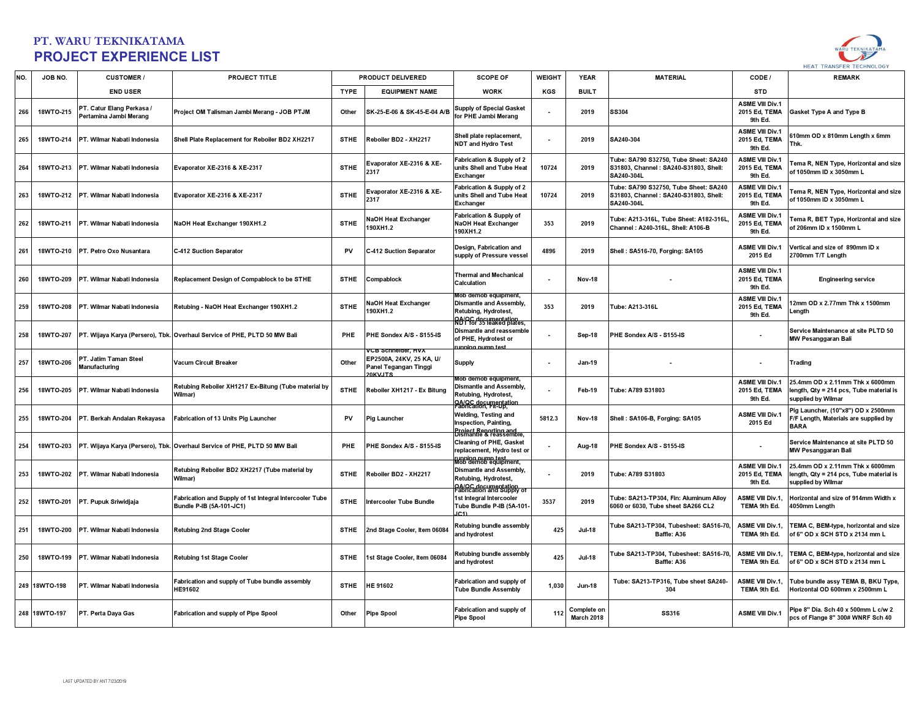

| NO. | JOB NO.       | <b>CUSTOMER/</b>                                    | <b>PROJECT TITLE</b>                                                                |             | PRODUCT DELIVERED                                                                         | <b>SCOPE OF</b>                                                                                               | WEIGHT | <b>YEAR</b>               | <b>MATERIAL</b>                                                                              | CODE /                                             | <b>REMARK</b>                                                                                    |
|-----|---------------|-----------------------------------------------------|-------------------------------------------------------------------------------------|-------------|-------------------------------------------------------------------------------------------|---------------------------------------------------------------------------------------------------------------|--------|---------------------------|----------------------------------------------------------------------------------------------|----------------------------------------------------|--------------------------------------------------------------------------------------------------|
|     |               | <b>END USER</b>                                     |                                                                                     | <b>TYPE</b> | <b>EQUIPMENT NAME</b>                                                                     | <b>WORK</b>                                                                                                   | KGS    | <b>BUILT</b>              |                                                                                              | <b>STD</b>                                         |                                                                                                  |
| 266 | 18WTO-215     | PT. Catur Elang Perkasa /<br>Pertamina Jambi Merang | Project OM Talisman Jambi Merang - JOB PTJM                                         | Other       | SK-25-E-06 & SK-45-E-04 A/B                                                               | <b>Supply of Special Gasket</b><br>for PHE Jambi Merang                                                       |        | 2019                      | <b>SS304</b>                                                                                 | <b>ASME VIII Div.1</b><br>2015 Ed, TEMA<br>9th Ed. | Gasket Type A and Type B                                                                         |
| 265 | 18WTO-214     | PT. Wilmar Nabati Indonesia                         | Shell Plate Replacement for Reboiler BD2 XH2217                                     | <b>STHE</b> | Reboiler BD2 - XH2217                                                                     | Shell plate replacement,<br><b>NDT and Hydro Test</b>                                                         |        | 2019                      | SA240-304                                                                                    | <b>ASME VIII Div.1</b><br>2015 Ed. TEMA<br>9th Ed. | 610mm OD x 810mm Length x 6mm<br>Thk.                                                            |
| 264 | 18WTO-213     | <b>PT. Wilmar Nabati Indonesia</b>                  | Evaporator XE-2316 & XE-2317                                                        | <b>STHE</b> | Evaporator XE-2316 & XE-<br>2317                                                          | Fabrication & Supply of 2<br>units Shell and Tube Heat<br><b>Exchanger</b>                                    | 10724  | 2019                      | Tube: SA790 S32750, Tube Sheet: SA240<br>S31803. Channel: SA240-S31803. Shell:<br>SA240-304L | <b>ASME VIII Div.1</b><br>2015 Ed. TEMA<br>9th Ed. | Tema R, NEN Type, Horizontal and size<br>of 1050mm ID x 3050mm L                                 |
| 263 |               | 18WTO-212 PT. Wilmar Nabati Indonesia               | Evaporator XE-2316 & XE-2317                                                        | <b>STHE</b> | Evaporator XE-2316 & XE-<br>2317                                                          | Fabrication & Supply of 2<br>units Shell and Tube Heat<br>Exchanger                                           | 10724  | 2019                      | Tube: SA790 S32750. Tube Sheet: SA240<br>S31803, Channel: SA240-S31803, Shell:<br>SA240-304L | <b>ASME VIII Div.1</b><br>2015 Ed, TEMA<br>9th Ed. | Tema R, NEN Type, Horizontal and size<br>of 1050mm ID x 3050mm L                                 |
| 262 | 18WTO-211     | PT. Wilmar Nabati Indonesia                         | NaOH Heat Exchanger 190XH1.2                                                        | <b>STHE</b> | NaOH Heat Exchanger<br>190XH1.2                                                           | <b>Fabrication &amp; Supply of</b><br><b>NaOH Heat Exchanger</b><br>190XH1.2                                  | 353    | 2019                      | Tube: A213-316L, Tube Sheet: A182-316L<br>Channel: A240-316L, Shell: A106-B                  | <b>ASME VIII Div.1</b><br>2015 Ed, TEMA<br>9th Ed. | Tema R, BET Type, Horizontal and size<br>of 206mm ID x 1500mm L                                  |
| 261 | 18WTO-210     | PT. Petro Oxo Nusantara                             | C-412 Suction Separator                                                             | PV          | C-412 Suction Separator                                                                   | Design, Fabrication and<br>supply of Pressure vessel                                                          | 4896   | 2019                      | Shell: SA516-70, Forging: SA105                                                              | <b>ASME VIII Div.1</b><br>2015 Ed                  | Vertical and size of 890mm ID <b>x</b><br>2700mm T/T Lenath                                      |
| 260 | 18WTO-209     | PT. Wilmar Nabati Indonesia                         | Replacement Design of Compablock to be STHE                                         | <b>STHE</b> | Compablock                                                                                | <b>Thermal and Mechanical</b><br>Calculation                                                                  |        | <b>Nov-18</b>             |                                                                                              | <b>ASME VIII Div.1</b><br>2015 Ed, TEMA<br>9th Ed. | <b>Engineering service</b>                                                                       |
| 259 | 18WTO-208     | PT. Wilmar Nabati Indonesia                         | Retubing - NaOH Heat Exchanger 190XH1.2                                             | <b>STHE</b> | NaOH Heat Exchanger<br>190XH1.2                                                           | Mob demob equipment,<br>Dismantle and Assembly,<br>Retubina. Hydrotest.<br>RA/PC documentation                | 353    | 2019                      | Tube: A213-316L                                                                              | <b>ASME VIII Div.1</b><br>2015 Ed, TEMA<br>9th Ed. | 12mm OD x 2.77mm Thk x 1500mm<br>Lenath                                                          |
| 258 | 18WTO-207     |                                                     | PT. Wijaya Karya (Persero), Tbk. Overhaul Service of PHE, PLTD 50 MW Bali           | <b>PHE</b>  | PHE Sondex A/S - S155-IS                                                                  | Dismantle and reassemble<br>of PHE, Hydrotest or<br>unning numn fes                                           |        | Sep-18                    | PHE Sondex A/S - S155-IS                                                                     |                                                    | Service Maintenance at site PLTD 50<br><b>MW Pesanggaran Bali</b>                                |
| 257 | 18WTO-206     | PT. Jatim Taman Steel<br>Manufacturing              | Vacum Circuit Breaker                                                               | Other       | √CB Schneider, HVX<br>EP2500A, 24KV, 25 KA, U/<br>Panel Tegangan Tinggi<br><b>OKV.ITS</b> | <b>Supply</b>                                                                                                 |        | <b>Jan-19</b>             |                                                                                              |                                                    | <b>Trading</b>                                                                                   |
| 256 | 18WTO-205     | PT. Wilmar Nabati Indonesia                         | Retubing Reboiler XH1217 Ex-Bitung (Tube material by<br><b>Wilmar</b> )             | <b>STHE</b> | Reboiler XH1217 - Ex Bitung                                                               | Mob demob eauipment.<br><b>Dismantle and Assembly,</b><br>Retubing, Hydrotest,<br>PA/OC documentation         |        | Feb-19                    | Tube: A789 S31803                                                                            | <b>ASME VIII Div.1</b><br>2015 Ed, TEMA<br>9th Ed. | 25.4mm OD x 2.11mm Thk x 6000mm<br>length, Qty = 214 pcs, Tube material is<br>supplied by Wilmar |
| 255 | 18WTO-204     | PT. Berkah Andalan Rekayasa                         | Fabrication of 13 Units Pig Launcher                                                | PV          | <b>Pig Launcher</b>                                                                       | Welding, Testing and<br>Inspection, Painting,<br><b>Project Reporting and<br/>Dismantle &amp; reassemble.</b> | 5812.3 | Nov-18                    | Shell: SA106-B, Forging: SA105                                                               | <b>ASME VIII Div.1</b><br>2015 Ed                  | Pig Launcher, (10"x8") OD x 2500mm<br>F/F Length, Materials are supplied by<br><b>BARA</b>       |
| 254 | 18WTO-203     |                                                     | PT. Wijaya Karya (Persero), Tbk. Overhaul Service of PHE, PLTD 50 MW Bali           | PHE         | PHE Sondex A/S - S155-IS                                                                  | Cleaning of PHE, Gasket<br>replacement, Hydro test or<br>rupping pump fest<br>Mob demob equipment,            |        | Aug-18                    | PHE Sondex A/S - S155-IS                                                                     |                                                    | Service Maintenance at site PLTD 50<br>MW Pesanggaran Bali                                       |
| 253 | 18WTO-202     | <b>PT. Wilmar Nabati Indonesia</b>                  | Retubing Reboiler BD2 XH2217 (Tube material by<br><b>Wilmar)</b>                    | <b>STHE</b> | Reboiler BD2 - XH2217                                                                     | <b>Dismantle and Assembly,</b><br>Retubing, Hydrotest,<br>04/0C documentation<br>Fabrication and Supply of    |        | 2019                      | Tube: A789 S31803                                                                            | <b>ASME VIII Div.1</b><br>2015 Ed. TEMA<br>9th Ed. | 25.4mm OD x 2.11mm Thk x 6000mm<br>length, Qty = 214 pcs, Tube material is<br>supplied by Wilmar |
| 252 | 18WTO-201     | PT. Pupuk Sriwidjaja                                | Fabrication and Supply of 1st Integral Intercooler Tube<br>Bundle P-IB (5A-101-JC1) | <b>STHE</b> | <b>Intercooler Tube Bundle</b>                                                            | <b>1st Integral Intercooler</b><br>Tube Bundle P-IB (5A-101-                                                  | 3537   | 2019                      | Tube: SA213-TP304, Fin: Aluminum Alloy<br>6060 or 6030, Tube sheet SA266 CL2                 | <b>ASME VIII Div.1.</b><br>TEMA 9th Ed.            | Horizontal and size of 914mm Width <b>x</b><br>4050mm Length                                     |
| 251 | 18WTO-200     | <b>PT. Wilmar Nabati Indonesia</b>                  | <b>Retubing 2nd Stage Cooler</b>                                                    | <b>STHE</b> | 2nd Stage Cooler, Item 06084                                                              | Retubing bundle assembly<br>and hydrotest                                                                     | 425    | <b>Jul-18</b>             | Tube SA213-TP304. Tubesheet: SA516-70.<br>Baffle: A36                                        | <b>ASME VIII Div.1.</b><br>TEMA 9th Ed.            | <b>TEMA C, BEM-type, horizontal and size</b><br>of 6" OD x SCH STD x 2134 mm L                   |
| 250 | 18WTO-199     | <b>PT. Wilmar Nabati Indonesia</b>                  | <b>Retubing 1st Stage Cooler</b>                                                    | <b>STHE</b> | 1st Stage Cooler, Item 06084                                                              | <b>Retubing bundle assembly</b><br>and hydrotest                                                              | 425    | <b>Jul-18</b>             | ube SA213-TP304, Tubesheet: SA516-70,<br>Baffle: A36                                         | <b>ASME VIII Div.1,</b><br>TEMA 9th Ed.            | TEMA C, BEM-type, horizontal and size<br>of 6" OD x SCH STD x 2134 mm L                          |
|     | 249 18WTO-198 | PT. Wilmar Nabati Indonesia                         | Fabrication and supply of Tube bundle assembly<br>HE91602                           | <b>STHE</b> | HE 91602                                                                                  | Fabrication and supply of<br><b>Tube Bundle Assembly</b>                                                      | 1,030  | <b>Jun-18</b>             | Tube: SA213-TP316, Tube sheet SA240-<br>304                                                  | ASME VIII Div.1,<br>TEMA 9th Ed.                   | Tube bundle assy TEMA B, BKU Type,<br>Horizontal OD 600mm x 2500mm L                             |
|     | 248 18WTO-197 | PT. Perta Daya Gas                                  | Fabrication and supply of Pipe Spool                                                | Other       | Pipe Spool                                                                                | Fabrication and supply of<br><b>Pipe Spool</b>                                                                | 112    | Complete on<br>March 2018 | SS316                                                                                        | <b>ASME VIII Div.1</b>                             | Pipe 8" Dia. Sch 40 x 500mm L c/w 2<br>pcs of Flange 8" 300# WNRF Sch 40                         |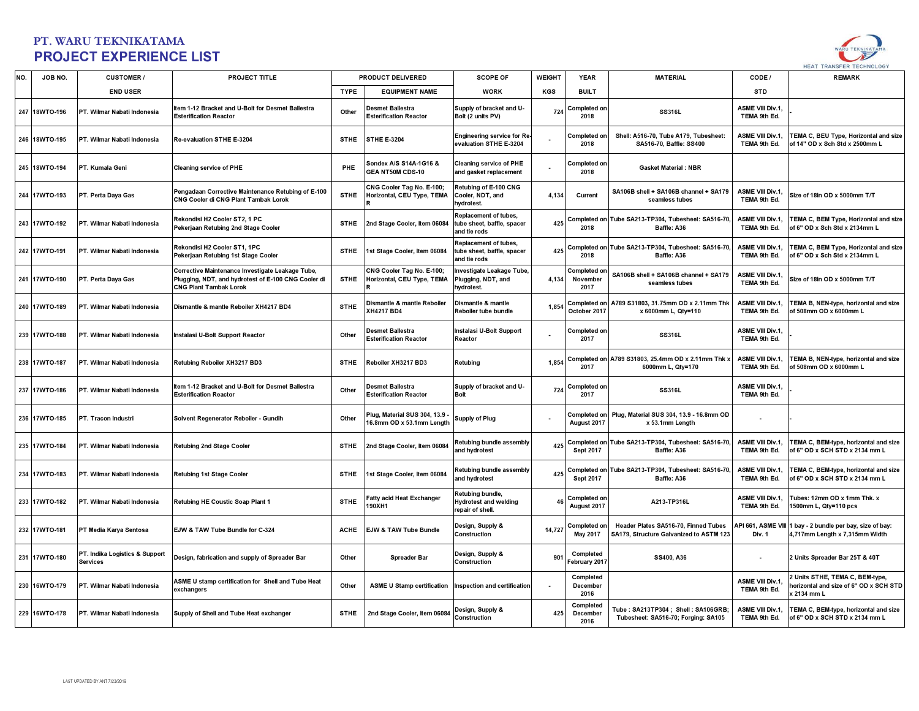

| NO. | JOB NO.       | <b>CUSTOMER/</b>                           | PROJECT TITLE                                                                                                                            |             | PRODUCT DELIVERED                                        | <b>SCOPE OF</b>                                                            | <b>WEIGHT</b> | <b>YEAR</b>                      | <b>MATERIAL</b>                                                                 | CODE /                                  | <b>REMARK</b>                                                                       |
|-----|---------------|--------------------------------------------|------------------------------------------------------------------------------------------------------------------------------------------|-------------|----------------------------------------------------------|----------------------------------------------------------------------------|---------------|----------------------------------|---------------------------------------------------------------------------------|-----------------------------------------|-------------------------------------------------------------------------------------|
|     |               | <b>END USER</b>                            |                                                                                                                                          | <b>TYPE</b> | <b>EQUIPMENT NAME</b>                                    | <b>WORK</b>                                                                | KGS           | <b>BUILT</b>                     |                                                                                 | <b>STD</b>                              |                                                                                     |
|     | 247 18WTO-196 | PT. Wilmar Nabati Indonesia                | Item 1-12 Bracket and U-Bolt for Desmet Ballestra<br><b>Esterification Reactor</b>                                                       | Other       | <b>Desmet Ballestra</b><br><b>Esterification Reactor</b> | Supply of bracket and U-<br>Bolt (2 units PV)                              | 724           | Completed on<br>2018             | SS316L                                                                          | <b>ASME VIII Div.1,</b><br>TEMA 9th Ed. |                                                                                     |
|     | 246 18WTO-195 | PT. Wilmar Nabati Indonesia                | Re-evaluation STHE E-3204                                                                                                                | <b>STHE</b> | <b>STHE E-3204</b>                                       | <b>Engineering service for Re</b><br>evaluation STHE E-3204                |               | Completed or<br>2018             | Shell: A516-70, Tube A179, Tubesheet:<br>SA516-70, Baffle: SS400                | <b>ASME VIII Div.1.</b><br>TEMA 9th Ed. | <b>TEMA C, BEU Type, Horizontal and size</b><br>of 14" OD x Sch Std x 2500mm L      |
|     | 245 18WTO-194 | PT. Kumala Geni                            | <b>Cleaning service of PHE</b>                                                                                                           | PHE         | Sondex A/S S14A-1G16 &<br>GEA NT50M CDS-10               | <b>Cleaning service of PHE</b><br>and gasket replacement                   |               | Completed on<br>2018             | <b>Gasket Material: NBR</b>                                                     |                                         |                                                                                     |
|     | 244 17WTO-193 | PT. Perta Daya Gas                         | Pengadaan Corrective Maintenance Retubing of E-100<br>CNG Cooler di CNG Plant Tambak Lorok                                               | <b>STHE</b> | CNG Cooler Tag No. E-100;<br>Horizontal, CEU Type, TEMA  | Retubing of E-100 CNG<br>Cooler, NDT, and<br>hydrotest.                    | 4.134         | Current                          | SA106B shell + SA106B channel + SA179<br>seamless tubes                         | <b>ASME VIII Div.1,</b><br>TEMA 9th Ed. | Size of 18in OD x 5000mm T/T                                                        |
|     | 243 17WTO-192 | PT. Wilmar Nabati Indonesia                | Rekondisi H2 Cooler ST2, 1 PC<br>Pekerjaan Retubing 2nd Stage Cooler                                                                     | <b>STHE</b> | 2nd Stage Cooler, Item 06084                             | Replacement of tubes,<br>tube sheet, baffle, spacer<br>and tie rods        | 425           | Completed on<br>2018             | Tube SA213-TP304, Tubesheet: SA516-70,<br>Baffle: A36                           | <b>ASME VIII Div.1.</b><br>TEMA 9th Ed. | <b>EMA C, BEM Type, Horizontal and size</b><br>of 6" OD x Sch Std x 2134mm L        |
|     | 242 17WTO-191 | PT. Wilmar Nabati Indonesia                | Rekondisi H2 Cooler ST1, 1PC<br>Pekerjaan Retubing 1st Stage Cooler                                                                      | <b>STHE</b> | 1st Stage Cooler, Item 06084                             | <b>Replacement of tubes,</b><br>tube sheet, baffle, spacer<br>and tie rods | 425           | completed on<br>2018             | Tube SA213-TP304, Tubesheet: SA516-70<br>Baffle: A36                            | <b>ASME VIII Div.1,</b><br>TEMA 9th Ed. | <b>EMA C, BEM Type, Horizontal and size</b><br>of 6" OD x Sch Std x 2134mm L        |
|     | 241 17WTO-190 | PT. Perta Daya Gas                         | Corrective Maintenance Investigate Leakage Tube,<br>Plugging, NDT, and hydrotest of E-100 CNG Cooler di<br><b>CNG Plant Tambak Lorok</b> | <b>STHE</b> | CNG Cooler Tag No. E-100;<br>Horizontal, CEU Type, TEMA  | nvestigate Leakage Tube<br>Plugging, NDT, and<br>hydrotest.                | 4,134         | Completed or<br>November<br>2017 | SA106B shell + SA106B channel + SA179<br>seamless tubes                         | <b>ASME VIII Div.1.</b><br>TEMA 9th Ed. | Size of 18in OD x 5000mm T/T                                                        |
|     | 240 17WTO-189 | PT. Wilmar Nabati Indonesia                | Dismantle & mantle Reboiler XH4217 BD4                                                                                                   | <b>STHE</b> | Dismantle & mantle Reboiler<br><b>XH4217 BD4</b>         | Dismantle & mantle<br>Reboiler tube bundle                                 | 1.85          | Completed on<br>October 2017     | A789 S31803, 31.75mm OD x 2.11mm Thk<br>x 6000mm L, Qty=110                     | ASME VIII Div.1,<br>TEMA 9th Ed.        | FEMA B, NEN-type, horizontal and size<br>of 508mm OD x 6000mm L                     |
|     | 239 17WTO-188 | PT. Wilmar Nabati Indonesia                | Instalasi U-Bolt Support Reactor                                                                                                         | Other       | <b>Desmet Ballestra</b><br><b>Esterification Reactor</b> | <b>Instalasi U-Bolt Support</b><br>Reactor                                 |               | Completed on<br>2017             | SS316L                                                                          | <b>ASME VIII Div.1,</b><br>TEMA 9th Ed. |                                                                                     |
|     | 238 17WTO-187 | PT. Wilmar Nabati Indonesia                | Retubing Reboiler XH3217 BD3                                                                                                             | <b>STHE</b> | Reboiler XH3217 BD3                                      | Retubing                                                                   | 1,854         | Completed on<br>2017             | A789 S31803, 25.4mm OD x 2.11mm Thk :<br>6000mm L, Qty=170                      | ASME VIII Div.1,<br>TEMA 9th Ed.        | <b>TEMA B, NEN-type, horizontal and size</b><br>of 508mm OD x 6000mm L              |
|     | 237 17WTO-186 | PT. Wilmar Nabati Indonesia                | Item 1-12 Bracket and U-Bolt for Desmet Ballestra<br><b>Esterification Reactor</b>                                                       | Other       | <b>Desmet Ballestra</b><br><b>Esterification Reactor</b> | Supply of bracket and U-<br><b>Bolt</b>                                    | 724           | Completed on<br>2017             | SS316L                                                                          | <b>ASME VIII Div.1.</b><br>TEMA 9th Ed. |                                                                                     |
|     | 236 17WTO-185 | PT. Tracon Industri                        | Solvent Regenerator Reboiler - Gundih                                                                                                    | Other       | Plug, Material SUS 304, 13.9<br>6.8mm OD x 53.1mm Length | Supply of Plug                                                             |               | Completed on<br>August 2017      | Plug, Material SUS 304, 13.9 - 16.8mm OD<br>x 53.1mm Length                     |                                         |                                                                                     |
|     | 235 17WTO-184 | PT. Wilmar Nabati Indonesia                | <b>Retubing 2nd Stage Cooler</b>                                                                                                         | <b>STHE</b> | 2nd Stage Cooler, Item 06084                             | Retubing bundle assembly<br>and hydrotest                                  | 425           | Completed on<br><b>Sept 2017</b> | Tube SA213-TP304, Tubesheet: SA516-70<br>Baffle: A36                            | <b>ASME VIII Div.1,</b><br>TEMA 9th Ed. | <b>EMA C, BEM-type, horizontal and size</b><br>of 6" OD x SCH STD x 2134 mm L       |
|     | 234 17WTO-183 | PT. Wilmar Nabati Indonesia                | <b>Retubing 1st Stage Cooler</b>                                                                                                         | <b>STHE</b> | 1st Stage Cooler, Item 06084                             | <b>Retubing bundle assembly</b><br>and hydrotest                           | 425           | Completed on<br><b>Sept 2017</b> | Tube SA213-TP304, Tubesheet: SA516-70<br>Baffle: A36                            | <b>ASME VIII Div.1,</b><br>TEMA 9th Ed. | <b>EMA C, BEM-type, horizontal and size</b><br>of 6" OD x SCH STD x 2134 mm L       |
|     | 233 17WTO-182 | PT. Wilmar Nabati Indonesia                | Retubing HE Coustic Soap Plant 1                                                                                                         | <b>STHE</b> | Fatty acid Heat Exchanger<br>190XH1                      | Retubing bundle,<br><b>Hydrotest and welding</b><br>repair of shell.       | 46            | Completed on<br>August 2017      | A213-TP316L                                                                     | <b>ASME VIII Div.1,</b><br>TEMA 9th Ed. | ubes: 12mm OD x 1mm Thk. x<br>1500mm L, Qty=110 pcs                                 |
|     | 232 17WTO-181 | PT Media Karya Sentosa                     | EJW & TAW Tube Bundle for C-324                                                                                                          | <b>ACHE</b> | <b>EJW &amp; TAW Tube Bundle</b>                         | Design, Supply &<br>Construction                                           | 14.727        | Completed or<br>May 2017         | Header Plates SA516-70, Finned Tubes<br>SA179, Structure Galvanized to ASTM 123 | API 661, ASME VIII<br>Div. 1            | bay - 2 bundle per bay, size of bay:<br>4,717mm Length x 7,315mm Width              |
|     | 231 17WTO-180 | PT. Indika Logistics & Support<br>Services | Design, fabrication and supply of Spreader Bar                                                                                           | Other       | <b>Spreader Bar</b>                                      | Design, Supply &<br>Construction                                           | 901           | Completed<br>ebruary 2017        | SS400, A36                                                                      | $\ddot{\phantom{0}}$                    | 2 Units Spreader Bar 25T & 40T                                                      |
|     | 230 16WTO-179 | PT. Wilmar Nabati Indonesia                | ASME U stamp certification for Shell and Tube Heat<br>exchangers                                                                         | Other       | ASME U Stamp certification Inspection and certification  |                                                                            |               | Completed<br>December<br>2016    |                                                                                 | <b>ASME VIII Div.1,</b><br>TEMA 9th Ed. | Units STHE, TEMA C, BEM-type,<br>orizontal and size of 6" OD x SCH STD<br>2134 mm L |
|     | 229 16WTO-178 | PT. Wilmar Nabati Indonesia                | Supply of Shell and Tube Heat exchanger                                                                                                  | <b>STHE</b> | 2nd Stage Cooler, Item 06084                             | Design, Supply &<br>Construction                                           | 425           | Completed<br>December<br>2016    | Tube: SA213TP304; Shell: SA106GRB;<br>Tubesheet: SA516-70; Forging: SA105       | <b>ASME VIII Div.1,</b><br>TEMA 9th Ed. | <b>TEMA C, BEM-type, horizontal and size</b><br>of 6" OD x SCH STD x 2134 mm L      |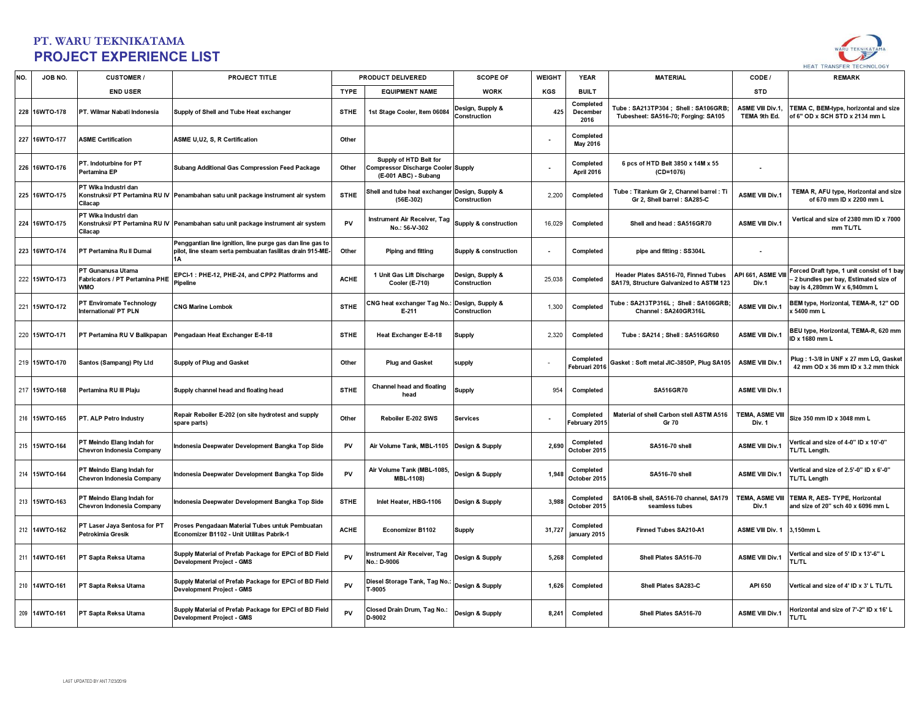

| NO. | JOB NO.       | <b>CUSTOMER /</b>                                                 | PROJECT TITLE                                                                                                          |             | PRODUCT DELIVERED                                                                    | <b>SCOPE OF</b>                  | <b>WEIGHT</b> | <b>YEAR</b>                   | <b>MATERIAL</b>                                                                 | CODE /                           | <b>REMARK</b>                                                                                                        |
|-----|---------------|-------------------------------------------------------------------|------------------------------------------------------------------------------------------------------------------------|-------------|--------------------------------------------------------------------------------------|----------------------------------|---------------|-------------------------------|---------------------------------------------------------------------------------|----------------------------------|----------------------------------------------------------------------------------------------------------------------|
|     |               | <b>END USER</b>                                                   |                                                                                                                        | <b>TYPE</b> | <b>EQUIPMENT NAME</b>                                                                | <b>WORK</b>                      | KGS           | <b>BUILT</b>                  |                                                                                 | <b>STD</b>                       |                                                                                                                      |
|     | 228 16WTO-178 | PT. Wilmar Nabati Indonesia                                       | Supply of Shell and Tube Heat exchanger                                                                                | <b>STHE</b> | 1st Stage Cooler, Item 06084                                                         | Design, Supply &<br>Construction | 425           | Completed<br>December<br>2016 | Tube: SA213TP304; Shell: SA106GRB;<br>Tubesheet: SA516-70; Forging: SA105       | ASME VIII Div.1,<br>TEMA 9th Ed. | TEMA C, BEM-type, horizontal and size<br>of 6" OD x SCH STD x 2134 mm L                                              |
|     | 227 16WTO-177 | <b>ASME Certification</b>                                         | ASME U,U2, S, R Certification                                                                                          | Other       |                                                                                      |                                  |               | Completed<br>May 2016         |                                                                                 |                                  |                                                                                                                      |
|     | 226 16WTO-176 | PT. Indoturbine for PT<br>Pertamina EP                            | Subang Additional Gas Compression Feed Package                                                                         | Other       | Supply of HTD Belt for<br>Compressor Discharge Cooler Supply<br>(E-001 ABC) - Subang |                                  |               | Completed<br>April 2016       | 6 pcs of HTD Belt 3850 x 14M x 55<br>$(CD=1076)$                                | $\blacksquare$                   |                                                                                                                      |
|     | 225 16WTO-175 | PT Wika Industri dan<br>Cilacap                                   | Konstruksi/ PT Pertamina RU IV Penambahan satu unit package instrument air system                                      | <b>STHE</b> | Shell and tube heat exchanger Design, Supply &<br>$(56E-302)$                        | Construction                     | 2,200         | Completed                     | Tube: Titanium Gr 2, Channel barrel: Ti<br>Gr 2, Shell barrel: SA285-C          | <b>ASME VIII Div.1</b>           | TEMA R, AFU type, Horizontal and size<br>of 670 mm ID x 2200 mm L                                                    |
|     | 224 16WTO-175 | PT Wika Industri dan<br>Cilacap                                   | Konstruksi/ PT Pertamina RU IV   Penambahan satu unit package instrument air system                                    | PV          | Instrument Air Receiver, Tag<br>No.: 56-V-302                                        | Supply & construction            | 16,029        | Completed                     | Shell and head: SA516GR70                                                       | <b>ASME VIII Div.1</b>           | Vertical and size of 2380 mm ID x 7000<br>mm TL/TL                                                                   |
|     | 223 16WTO-174 | PT Pertamina Ru II Dumai                                          | Penggantian line ignition, line purge gas dan line gas to<br>pilot, line steam serta pembuatan fasilitas drain 915-ME- | Other       | <b>Piping and fitting</b>                                                            | <b>Supply &amp; construction</b> |               | Completed                     | pipe and fitting: SS304L                                                        | $\blacksquare$                   |                                                                                                                      |
|     | 222 15WTO-173 | PT Gunanusa Utama<br>Fabricators / PT Pertamina PHE<br><b>WMO</b> | EPCI-1 : PHE-12, PHE-24, and CPP2 Platforms and<br>Pipeline                                                            | <b>ACHE</b> | 1 Unit Gas Lift Discharge<br><b>Cooler (E-710)</b>                                   | Design, Supply &<br>Construction | 25,038        | Completed                     | Header Plates SA516-70, Finned Tubes<br>SA179, Structure Galvanized to ASTM 123 | API 661, ASME VIII<br>Div.1      | Forced Draft type, 1 unit consist of 1 bay<br>- 2 bundles per bay, Estimated size of<br>bay is 4,280mm W x 6,940mm L |
|     | 221 15WTO-172 | PT Enviromate Technology<br>International/ PT PLN                 | <b>CNG Marine Lombok</b>                                                                                               | <b>STHE</b> | NG heat exchanger Tag No.: Design, Supply &<br>$E-211$                               | Construction                     | 1,300         | Completed                     | Tube: SA213TP316L; Shell: SA106GRB;<br>Channel: SA240GR316L                     | ASME VIII Div.                   | BEM type, Horizontal, TEMA-R, 12" OD<br>(5400 mm L                                                                   |
|     | 220 15WTO-171 | PT Pertamina RU V Balikpapan                                      | Pengadaan Heat Exchanger E-8-18                                                                                        | <b>STHE</b> | Heat Exchanger E-8-18                                                                | <b>Supply</b>                    | 2,320         | Completed                     | Tube: SA214; Shell: SA516GR60                                                   | <b>ASME VIII Div.1</b>           | BEU type, Horizontal, TEMA-R, 620 mm<br>ID x 1680 mm L                                                               |
|     | 219 15WTO-170 | Santos (Sampang) Pty Ltd                                          | Supply of Plug and Gasket                                                                                              | Other       | <b>Plug and Gasket</b>                                                               | supply                           |               | Completed<br>Februari 2016    | Gasket: Soft metal JIC-3850P, Plug SA105                                        | <b>ASME VIII Div.1</b>           | Plug: 1-3/8 in UNF x 27 mm LG, Gasket<br>42 mm OD x 36 mm ID x 3.2 mm thick                                          |
|     | 217 15WTO-168 | Pertamina RU III Plaju                                            | Supply channel head and floating head                                                                                  | <b>STHE</b> | <b>Channel head and floating</b><br>head                                             | <b>Supply</b>                    | 954           | Completed                     | SA516GR70                                                                       | <b>ASME VIII Div.1</b>           |                                                                                                                      |
|     | 216 15WTO-165 | PT. ALP Petro Industry                                            | Repair Reboiler E-202 (on site hydrotest and supply<br>spare parts)                                                    | Other       | Reboiler E-202 SWS                                                                   | <b>Services</b>                  |               | Completed<br>February 2015    | Material of shell Carbon stell ASTM A516<br>Gr 70                               | TEMA, ASME VIII<br>Div. 1        | Size 350 mm ID x 3048 mm L                                                                                           |
|     | 215 15WTO-164 | PT Meindo Elang Indah for<br>Chevron Indonesia Company            | Indonesia Deepwater Development Bangka Top Side                                                                        | PV          | Air Volume Tank, MBL-1105 Design & Supply                                            |                                  | 2,690         | Completed<br>October 2015     | SA516-70 shell                                                                  | <b>ASME VIII Div.1</b>           | Vertical and size of 4-0" ID x 10'-0"<br>TL/TL Length.                                                               |
|     | 214 15WTO-164 | PT Meindo Elang Indah for<br>Chevron Indonesia Company            | Indonesia Deepwater Development Bangka Top Side                                                                        | PV          | Air Volume Tank (MBL-1085,<br>MBL-1108)                                              | Design & Supply                  | 1,94          | Completed<br>October 2015     | <b>SA516-70 shell</b>                                                           | <b>ASME VIII Div.1</b>           | /ertical and size of 2.5'-0" ID x 6'-0"<br><b>TL/TL Length</b>                                                       |
|     | 213 15WTO-163 | PT Meindo Elang Indah for<br>Chevron Indonesia Company            | Indonesia Deepwater Development Bangka Top Side                                                                        | <b>STHE</b> | Inlet Heater, HBG-1106                                                               | Design & Supply                  | 3,988         | Completed<br>October 2015     | SA106-B shell, SA516-70 channel, SA179<br>seamless tubes                        | <b>TEMA, ASME VIII</b><br>Div.1  | TEMA R, AES-TYPE, Horizontal<br>and size of 20" sch 40 x 6096 mm L                                                   |
|     | 212 14WTO-162 | PT Laser Jaya Sentosa for PT<br>Petrokimia Gresik                 | Proses Pengadaan Material Tubes untuk Pembuatan<br>Economizer B1102 - Unit Utilitas Pabrik-1                           | <b>ACHE</b> | Economizer B1102                                                                     | <b>Supply</b>                    | 31,72         | Completed<br>january 2015     | Finned Tubes SA210-A1                                                           | <b>ASME VIII Div. 1</b>          | 3,150mm L                                                                                                            |
|     | 211 14WTO-161 | PT Sapta Reksa Utama                                              | Supply Material of Prefab Package for EPCI of BD Field<br>Development Project - GMS                                    | PV          | Instrument Air Receiver, Tag<br>No.: D-9006                                          | Design & Supply                  | 5,268         | Completed                     | Shell Plates SA516-70                                                           | <b>ASME VIII Div.1</b>           | Vertical and size of 5' ID x 13'-6" L<br><b>TL/TL</b>                                                                |
|     | 210 14WTO-161 | PT Sapta Reksa Utama                                              | Supply Material of Prefab Package for EPCI of BD Field<br>Development Project - GMS                                    | PV          | Diesel Storage Tank, Tag No.: Design & Supply<br>T-9005                              |                                  | 1,626         | Completed                     | Shell Plates SA283-C                                                            | API 650                          | Vertical and size of 4' ID x 3' L TL/TL                                                                              |
|     | 209 14WTO-161 | PT Sapta Reksa Utama                                              | Supply Material of Prefab Package for EPCI of BD Field<br>Development Project - GMS                                    | PV          | Closed Drain Drum, Tag No.:<br>D-9002                                                | Design & Supply                  | 8,241         | Completed                     | Shell Plates SA516-70                                                           | <b>ASME VIII Div.1</b>           | Horizontal and size of 7'-2" ID x 16' L<br><b>TL/TL</b>                                                              |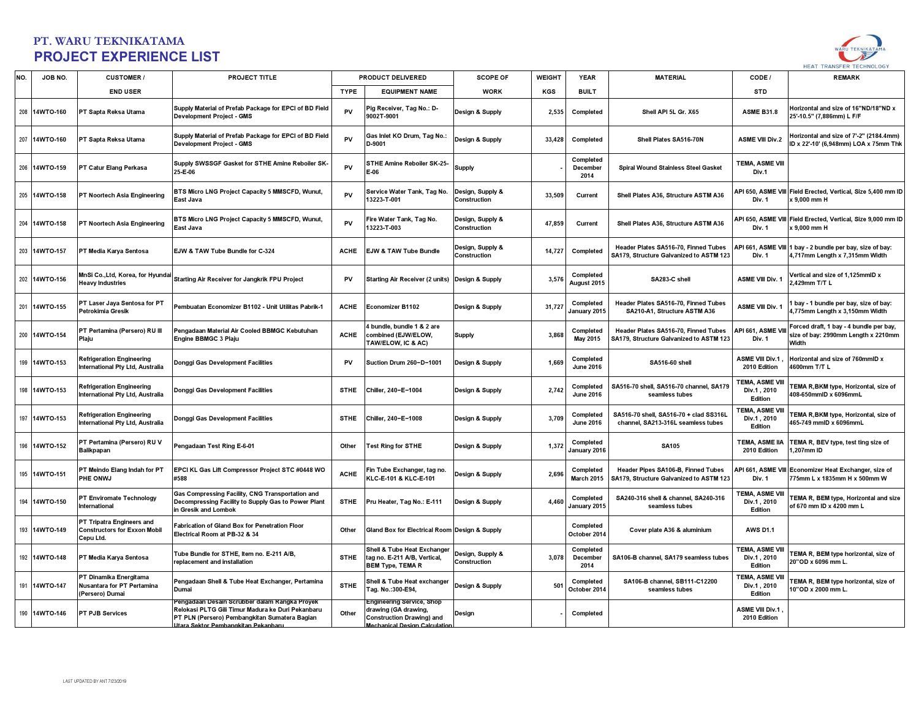

| NO. | JOB NO.       | <b>CUSTOMER/</b>                                                              | PROJECT TITLE                                                                                                                                                                                      |             | PRODUCT DELIVERED                                                                                                      | <b>SCOPE OF</b>                  | <b>WEIGHT</b> | <b>YEAR</b>                    | <b>MATERIAL</b>                                                                 | CODE /                                           | <b>REMARK</b>                                                                               |
|-----|---------------|-------------------------------------------------------------------------------|----------------------------------------------------------------------------------------------------------------------------------------------------------------------------------------------------|-------------|------------------------------------------------------------------------------------------------------------------------|----------------------------------|---------------|--------------------------------|---------------------------------------------------------------------------------|--------------------------------------------------|---------------------------------------------------------------------------------------------|
|     |               | <b>END USER</b>                                                               |                                                                                                                                                                                                    | <b>TYPE</b> | <b>EQUIPMENT NAME</b>                                                                                                  | <b>WORK</b>                      | KGS           | <b>BUILT</b>                   |                                                                                 | <b>STD</b>                                       |                                                                                             |
| 208 | 14WTO-160     | PT Sapta Reksa Utama                                                          | Supply Material of Prefab Package for EPCI of BD Field<br>Development Project - GMS                                                                                                                | PV          | Pig Receiver, Tag No.: D-<br>9002T-9001                                                                                | Design & Supply                  | 2,535         | Completed                      | Shell API 5L Gr. X65                                                            | <b>ASME B31.8</b>                                | Horizontal and size of 16"ND/18"ND x<br>25'-10.5" (7,886mm) L F/F                           |
|     | 207 14WTO-160 | PT Sapta Reksa Utama                                                          | Supply Material of Prefab Package for EPCI of BD Field<br><b>Development Project - GMS</b>                                                                                                         | PV          | Gas Inlet KO Drum, Tag No.:<br>D-9001                                                                                  | Design & Supply                  | 33,428        | Completed                      | Shell Plates SA516-70N                                                          | <b>ASME VIII Div.2</b>                           | Horizontal and size of 7'-2" (2184.4mm)<br>ID x 22'-10' (6.948mm) LOA x 75mm Thk            |
|     | 206 14WTO-159 | PT Catur Elang Perkasa                                                        | Supply SWSSGF Gasket for STHE Amine Reboiler SK-<br>25-E-06                                                                                                                                        | PV          | STHE Amine Reboiler SK-25-<br>E-06                                                                                     | Supply                           |               | Completed<br>December<br>2014  | Spiral Wound Stainless Steel Gasket                                             | <b>TEMA, ASME VIII</b><br>Div.1                  |                                                                                             |
|     | 205 14WTO-158 | PT Noortech Asia Engineering                                                  | <b>3TS Micro LNG Project Capacity 5 MMSCFD, Wunut,</b><br>East Java                                                                                                                                | PV          | Service Water Tank, Tag No.<br>13223-T-001                                                                             | Design, Supply &<br>Construction | 33,509        | Current                        | Shell Plates A36, Structure ASTM A36                                            | API 650, ASME VIII<br>Div. 1                     | Field Erected, Vertical, Size 5,400 mm ID<br>x 9.000 mm H                                   |
|     | 204 14WTO-158 | PT Noortech Asia Engineering                                                  | BTS Micro LNG Project Capacity 5 MMSCFD, Wunut,<br>East Java                                                                                                                                       | PV          | Fire Water Tank, Tag No.<br>13223-T-003                                                                                | Design, Supply &<br>Construction | 47,859        | Current                        | Shell Plates A36, Structure ASTM A36                                            | API 650, ASME VIII<br>Div. 1                     | Field Erected, Vertical, Size 9,000 mm ID<br>x 9,000 mm H                                   |
| 203 | 14WTO-157     | PT Media Karya Sentosa                                                        | EJW & TAW Tube Bundle for C-324                                                                                                                                                                    | <b>ACHE</b> | EJW & TAW Tube Bundle                                                                                                  | Design, Supply &<br>Construction | 14,727        | Completed                      | Header Plates SA516-70. Finned Tubes<br>SA179, Structure Galvanized to ASTM 123 | Div. 1                                           | API 661, ASME VIII 1 bay - 2 bundle per bay, size of bay:<br>4,717mm Length x 7,315mm Width |
|     | 202 14WTO-156 | MnSi Co., Ltd, Korea, for Hyundai<br><b>Heavy Industries</b>                  | Starting Air Receiver for Jangkrik FPU Project                                                                                                                                                     | PV          | Starting Air Receiver (2 units) Design & Supply                                                                        |                                  | 3,576         | Completed<br>August 2015       | SA283-C shell                                                                   | <b>ASME VIII Div. 1</b>                          | Vertical and size of 1,125mmID x<br>2,429mm T/T L                                           |
|     | 201 14WTO-155 | PT Laser Jaya Sentosa for PT<br>Petrokimia Gresik                             | Pembuatan Economizer B1102 - Unit Utilitas Pabrik-1                                                                                                                                                | <b>ACHE</b> | Economizer B1102                                                                                                       | Design & Supply                  | 31,727        | Completed<br>January 2015      | Header Plates SA516-70, Finned Tubes<br>SA210-A1. Structure ASTM A36            | <b>ASME VIII Div.</b>                            | I bay - 1 bundle per bay, size of bay:<br>4.775mm Lenath x 3.150mm Width                    |
|     | 200 14WTO-154 | PT Pertamina (Persero) RU III<br>Plaju                                        | Pengadaan Material Air Cooled BBMGC Kebutuhan<br>Engine BBMGC 3 Plaju                                                                                                                              | <b>ACHE</b> | 1 bundle, bundle 1 & 2 are<br>combined (EJW/ELOW,<br>TAW/ELOW, IC & AC)                                                | <b>Supply</b>                    | 3,868         | Completed<br>May 2015          | Header Plates SA516-70, Finned Tubes<br>SA179, Structure Galvanized to ASTM 123 | API 661, ASME VI<br>Div. 1                       | Forced draft, 1 bay - 4 bundle per bay,<br>size of bay: 2990mm Length x 2210mm<br>Width     |
|     | 199 14WTO-153 | <b>Refrigeration Engineering</b><br>International Pty Ltd, Australia          | Donggi Gas Development Facilities                                                                                                                                                                  | PV          | Suction Drum 260-D-1001                                                                                                | Design & Supply                  | 1,669         | Completed<br><b>June 2016</b>  | SA516-60 shell                                                                  | ASME VIII Div.1<br>2010 Edition                  | Horizontal and size of 760mmID x<br>4600mm T/T L                                            |
|     | 198 14WTO-153 | <b>Refrigeration Engineering</b><br>International Pty Ltd, Australia          | Donggi Gas Development Facilities                                                                                                                                                                  | <b>STHE</b> | Chiller, 240-E-1004                                                                                                    | Design & Supply                  | 2,742         | Completed<br><b>June 2016</b>  | SA516-70 shell, SA516-70 channel, SA179<br>seamless tubes                       | <b>TEMA, ASME VIII</b><br>Div.1, 2010<br>Edition | TEMA R, BKM type, Horizontal, size of<br>408-650mmID x 6096mmL                              |
|     | 197 14WTO-153 | <b>Refrigeration Engineering</b><br>International Pty Ltd, Australia          | Donggi Gas Development Facilities                                                                                                                                                                  | <b>STHE</b> | Chiller, 240-E-1008                                                                                                    | Design & Supply                  | 3,709         | Completed<br><b>June 2016</b>  | SA516-70 shell, SA516-70 + clad SS316L<br>channel, SA213-316L seamless tubes    | TEMA, ASME VIII<br>Div.1, 2010<br>Edition        | EMA R, BKM type, Horizontal, size of<br>465-749 mmID x 6096mmL                              |
| 196 | 14WTO-152     | PT Pertamina (Persero) RU V<br><b>Balikpapan</b>                              | Pengadaan Test Ring E-6-01                                                                                                                                                                         | Other       | <b>Test Ring for STHE</b>                                                                                              | Design & Supply                  | 1,372         | Completed<br>January 2016      | <b>SA105</b>                                                                    | TEMA, ASME IIA<br>2010 Edition                   | TEMA R, BEV type, test ting size of<br>,207mm ID                                            |
|     | 195 14WTO-151 | T Meindo Elang Indah for PT<br>PHE ONWJ                                       | EPCI KL Gas Lift Compressor Project STC #0448 WO<br>#588                                                                                                                                           | <b>ACHE</b> | Fin Tube Exchanger, tag no.<br>KLC-E-101 & KLC-E-101                                                                   | Design & Supply                  | 2,696         | Completed<br><b>March 2015</b> | Header Pipes SA106-B, Finned Tubes<br>SA179, Structure Galvanized to ASTM 123   | API 661. ASME VIII<br>Div. 1                     | Economizer Heat Exchanger, size of<br>775mm L x 1835mm H x 500mm W                          |
| 194 | 14WTO-150     | PT Enviromate Technology<br>International                                     | Gas Compressing Facility, CNG Transportation and<br>Decompressing Facility to Supply Gas to Power Plant<br>in Gresik and Lombok                                                                    | <b>STHE</b> | Pru Heater, Tag No.: E-111                                                                                             | Design & Supply                  | 4,460         | Completed<br>January 2015      | SA240-316 shell & channel, SA240-316<br>seamless tubes                          | TEMA, ASME VIII<br>Div.1, 2010<br>Edition        | FEMA R, BEM type, Horizontal and size<br>of 670 mm ID x 4200 mm L                           |
|     | 193 14WTO-149 | PT Tripatra Engineers and<br><b>Constructors for Exxon Mobil</b><br>Cepu Ltd. | Fabrication of Gland Box for Penetration Floor<br>Electrical Room at PB-32 & 34                                                                                                                    | Other       | Gland Box for Electrical Room Design & Supply                                                                          |                                  |               | Completed<br>October 2014      | Cover plate A36 & aluminium                                                     | <b>AWS D1.1</b>                                  |                                                                                             |
|     | 192 14WTO-148 | PT Media Karya Sentosa                                                        | Tube Bundle for STHE, Item no. E-211 A/B,<br>replacement and installation                                                                                                                          | <b>STHE</b> | Shell & Tube Heat Exchanger<br>tag no. E-211 A/B, Vertical,<br><b>BEM Type, TEMA R</b>                                 | Design, Supply &<br>Construction | 3,078         | Completed<br>December<br>2014  | SA106-B channel, SA179 seamless tubes                                           | TEMA, ASME VIII<br>Div.1, 2010<br>Edition        | TEMA R, BEM type horizontal, size of<br>20"OD x 6096 mm L.                                  |
|     | 191 14WTO-147 | PT Dinamika Energitama<br>Nusantara for PT Pertamina<br>(Persero) Dumai       | Pengadaan Shell & Tube Heat Exchanger, Pertamina<br>Dumai                                                                                                                                          | <b>STHE</b> | Shell & Tube Heat exchanger<br>Tag. No.:300-E94,                                                                       | Design & Supply                  | 50            | Completed<br>October 2014      | SA106-B channel, SB111-C12200<br>seamless tubes                                 | TEMA, ASME VIII<br>Div.1, 2010<br>Edition        | TEMA R, BEM type horizontal, size of<br>10"OD x 2000 mm L.                                  |
|     | 190 14WTO-146 | PT PJB Services                                                               | Pengadaan Desain Scrubber dalam Rangka Proyek<br>Relokasi PLTG Gili Timur Madura ke Duri Pekanbaru<br>PT PLN (Persero) Pembangkitan Sumatera Bagian<br><u> Utara Sektor Pembangkitan Pekanbaru</u> | Other       | Engineering Service, Shop<br>drawing (GA drawing,<br><b>Construction Drawing) and</b><br>Mechanical Design Calculation | Design                           |               | Completed                      |                                                                                 | <b>ASME VIII Div.1</b><br>2010 Edition           |                                                                                             |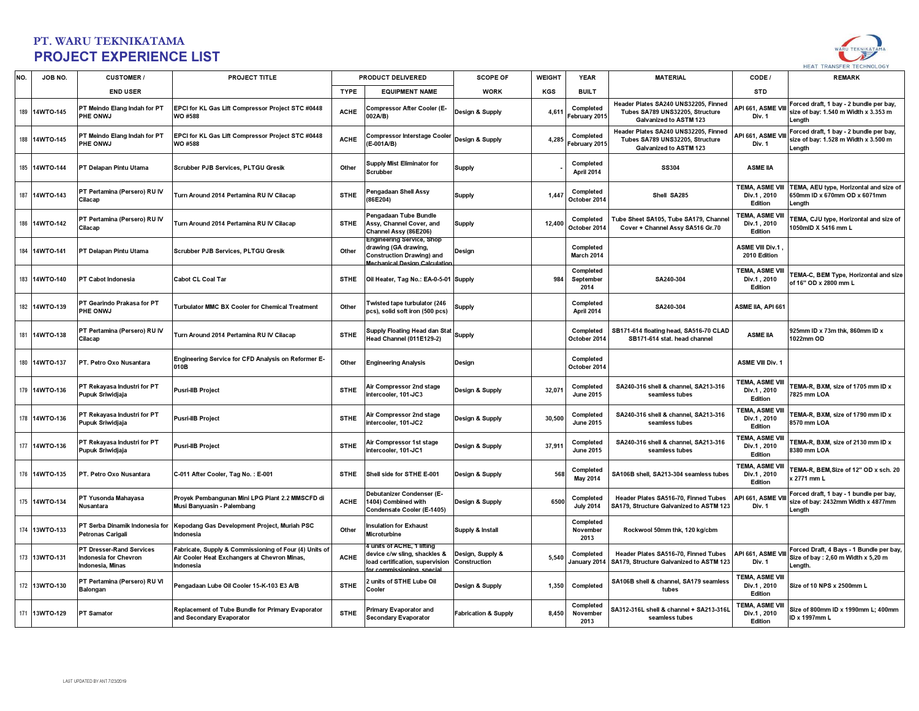

| NO. | JOB NO.       | <b>CUSTOMER/</b>                                                                    | <b>PROJECT TITLE</b>                                                                                                |             | <b>PRODUCT DELIVERED</b>                                                                                                          | <b>SCOPE OF</b>                  | <b>WEIGHT</b> | <b>YEAR</b>                    | <b>MATERIAL</b>                                                                                   | CODE /                                           | <b>REMARK</b>                                                                              |
|-----|---------------|-------------------------------------------------------------------------------------|---------------------------------------------------------------------------------------------------------------------|-------------|-----------------------------------------------------------------------------------------------------------------------------------|----------------------------------|---------------|--------------------------------|---------------------------------------------------------------------------------------------------|--------------------------------------------------|--------------------------------------------------------------------------------------------|
|     |               | <b>END USER</b>                                                                     |                                                                                                                     | <b>TYPE</b> | <b>EQUIPMENT NAME</b>                                                                                                             | <b>WORK</b>                      | KGS           | <b>BUILT</b>                   |                                                                                                   | <b>STD</b>                                       |                                                                                            |
|     | 189 14WTO-145 | PT Meindo Elang Indah for PT<br>PHE ONWJ                                            | EPCI for KL Gas Lift Compressor Project STC #0448<br>WO #588                                                        | <b>ACHE</b> | <b>Compressor After Cooler (E-</b><br>002A/B)                                                                                     | Design & Supply                  | 4,611         | Completed<br>February 2015     | Header Plates SA240 UNS32205. Finned<br>Tubes SA789 UNS32205, Structure<br>Galvanized to ASTM 123 | API 661, ASME VIII<br>Div. 1                     | Forced draft, 1 bay - 2 bundle per bay,<br>size of bay: 1.540 m Width x 3.353 m<br>Length  |
|     | 188 14WTO-145 | PT Meindo Elang Indah for PT<br>PHE ONWJ                                            | EPCI for KL Gas Lift Compressor Project STC #0448<br>WO #588                                                        | <b>ACHE</b> | <b>Compressor Interstage Cooler</b><br>$E-001A/B$                                                                                 | Design & Supply                  | 4,285         | Completed<br>February 2015     | Header Plates SA240 UNS32205, Finned<br>Tubes SA789 UNS32205, Structure<br>Galvanized to ASTM 123 | API 661. ASME VII<br>Div. 1                      | Forced draft, 1 bay - 2 bundle per bay,<br>size of bay: 1.528 m Width x 3.500 m<br>Length  |
|     | 185 14WTO-144 | PT Delapan Pintu Utama                                                              | Scrubber PJB Services, PLTGU Gresik                                                                                 | Other       | <b>Supply Mist Eliminator for</b><br>Scrubber                                                                                     | <b>Supply</b>                    |               | Completed<br>April 2014        | <b>SS304</b>                                                                                      | <b>ASME IIA</b>                                  |                                                                                            |
|     | 187 14WTO-143 | PT Pertamina (Persero) RU IV<br>Cilacap                                             | Turn Around 2014 Pertamina RU IV Cilacap                                                                            | <b>STHE</b> | Pengadaan Shell Assy<br>86E204)                                                                                                   | Supply                           | 1.44          | Completed<br>October 2014      | Shell SA285                                                                                       | TEMA, ASME VIII<br>Div.1, 2010<br>Edition        | TEMA, AEU type, Horizontal and size of<br>650mm ID x 670mm OD x 6071mm<br>Length           |
|     | 186 14WTO-142 | PT Pertamina (Persero) RU IV<br>Cilacap                                             | Turn Around 2014 Pertamina RU IV Cilacap                                                                            | <b>STHE</b> | Pengadaan Tube Bundle<br>Assy, Channel Cover, and<br>Channel Assy (86E206)                                                        | <b>Supply</b>                    | 12,400        | Completed<br>October 2014      | Tube Sheet SA105, Tube SA179, Channel<br>Cover + Channel Assy SA516 Gr.70                         | <b>TEMA, ASME VIII</b><br>Div.1.2010<br>Edition  | EMA, CJU type, Horizontal and size of<br>1050mID X 5416 mm L                               |
|     | 184 14WTO-141 | PT Delapan Pintu Utama                                                              | Scrubber PJB Services, PLTGU Gresik                                                                                 | Other       | <b>Engineering Service, Shop</b><br>drawing (GA drawing,<br><b>Construction Drawing) and</b><br><b>Mechanical Design Calculat</b> | Design                           |               | Completed<br>March 2014        |                                                                                                   | ASME VIII Div.1,<br>2010 Edition                 |                                                                                            |
|     | 183 14WTO-140 | PT Cabot Indonesia                                                                  | Cabot CL Coal Tar                                                                                                   | <b>STHE</b> | Oil Heater, Tag No.: EA-0-5-01 Supply                                                                                             |                                  | 984           | Completed<br>September<br>2014 | SA240-304                                                                                         | <b>TEMA, ASME VIII</b><br>Div.1, 2010<br>Edition | TEMA-C, BEM Type, Horizontal and size<br>of 16" OD x 2800 mm L                             |
|     | 182 14WTO-139 | PT Gearindo Prakasa for PT<br>PHE ONWJ                                              | <b>Turbulator MMC BX Cooler for Chemical Treatment</b>                                                              | Other       | Twisted tape turbulator (246<br>pcs), solid soft iron (500 pcs)                                                                   | <b>Supply</b>                    |               | Completed<br>April 2014        | SA240-304                                                                                         | ASME IIA, API 661                                |                                                                                            |
|     | 181 14WTO-138 | PT Pertamina (Persero) RU IV<br>Cilacap                                             | Turn Around 2014 Pertamina RU IV Cilacap                                                                            | <b>STHE</b> | Supply Floating Head dan Stat<br>Head Channel (011E129-2)                                                                         | Supply                           |               | Completed<br>October 2014      | SB171-614 floating head, SA516-70 CLAD<br>SB171-614 stat. head channel                            | <b>ASME IIA</b>                                  | 925mm ID x 73m thk, 860mm ID x<br>1022mm OD                                                |
|     | 180 14WTO-137 | PT. Petro Oxo Nusantara                                                             | Engineering Service for CFD Analysis on Reformer E-<br>010B                                                         | Other       | <b>Engineering Analysis</b>                                                                                                       | Design                           |               | Completed<br>October 2014      |                                                                                                   | <b>ASME VIII Div. 1</b>                          |                                                                                            |
|     | 179 14WTO-136 | PT Rekayasa Industri for PT<br>Pupuk Sriwidjaja                                     | <b>Pusri-IIB Project</b>                                                                                            | <b>STHE</b> | Air Compressor 2nd stage<br>intercooler, 101-JC3                                                                                  | Design & Supply                  | 32,071        | Completed<br><b>June 2015</b>  | SA240-316 shell & channel, SA213-316<br>seamless tubes                                            | <b>TEMA, ASME VIII</b><br>Div.1, 2010<br>Edition | TEMA-R, BXM, size of 1705 mm ID x<br>7825 mm LOA                                           |
|     | 178 14WTO-136 | PT Rekayasa Industri for PT<br>Pupuk Sriwidjaja                                     | <b>Pusri-IIB Project</b>                                                                                            | <b>STHE</b> | Air Compressor 2nd stage<br>ntercooler, 101-JC2                                                                                   | Design & Supply                  | 30.500        | Completed<br><b>June 2015</b>  | SA240-316 shell & channel, SA213-316<br>seamless tubes                                            | TEMA, ASME VIII<br>Div.1.2010<br>Edition         | EMA-R, BXM, size of 1790 mm ID x<br>8570 mm LOA                                            |
|     | 177 14WTO-136 | PT Rekayasa Industri for PT<br>Pupuk Sriwidjaja                                     | <b>Pusri-IIB Project</b>                                                                                            | <b>STHE</b> | Air Compressor 1st stage<br>intercooler, 101-JC1                                                                                  | Design & Supply                  | 37,91         | Completed<br><b>June 2015</b>  | SA240-316 shell & channel, SA213-316<br>seamless tubes                                            | TEMA, ASME VIII<br>Div.1, 2010<br>Edition        | EMA-R, BXM, size of 2130 mm ID x<br>8380 mm LOA                                            |
|     | 176 14WTO-135 | PT. Petro Oxo Nusantara                                                             | C-011 After Cooler, Tag No.: E-001                                                                                  | <b>STHE</b> | Shell side for STHE E-001                                                                                                         | Design & Supply                  | 568           | Completed<br><b>May 2014</b>   | SA106B shell, SA213-304 seamless tubes                                                            | TEMA, ASME VIII<br>Div.1, 2010<br>Edition        | TEMA-R, BEM, Size of 12" OD x sch. 20<br>x 2771 mm L                                       |
|     | 175 14WTO-134 | PT Yusonda Mahayasa<br>Nusantara                                                    | Proyek Pembangunan Mini LPG Plant 2.2 MMSCFD di<br>Musi Banyuasin - Palembang                                       | <b>ACHE</b> | Debutanizer Condenser (E-<br>1404) Combined with<br>Condensate Cooler (E-1405)                                                    | Design & Supply                  | 6500          | Completed<br><b>July 2014</b>  | Header Plates SA516-70. Finned Tubes<br>SA179, Structure Galvanized to ASTM 123                   | API 661, ASME<br>Div. 1                          | Forced draft, 1 bay - 1 bundle per bay,<br>size of bay: 2432mm Width x 4877mm<br>Lenath    |
|     | 174 13WTO-133 | PT Serba Dinamik Indonesia for<br>Petronas Carigali                                 | Kepodang Gas Development Project, Muriah PSC<br>Indonesia                                                           | Other       | <b>Insulation for Exhaust</b><br>Microturbine                                                                                     | Supply & Install                 |               | Completed<br>November<br>2013  | Rockwool 50mm thk, 120 kg/cbm                                                                     |                                                  |                                                                                            |
|     | 173 13WTO-131 | <b>PT Dresser-Rand Services</b><br><b>Indonesia for Chevron</b><br>Indonesia, Minas | Fabricate, Supply & Commissioning of Four (4) Units of<br>Air Cooler Heat Exchangers at Chevron Minas,<br>Indonesia | <b>ACHE</b> | units of ACHE, 1 lifting<br>device c/w sling, shackles &<br>load certification, supervision                                       | Design, Supply &<br>Construction | 5,540         | Completed<br>January 2014      | Header Plates SA516-70, Finned Tubes<br>SA179, Structure Galvanized to ASTM 123                   | API 661, ASME VII<br>Div. 1                      | Forced Draft, 4 Bays - 1 Bundle per bay,<br>Size of bay : 2,60 m Width x 5,20 m<br>Length. |
|     | 172 13WTO-130 | PT Pertamina (Persero) RU VI<br><b>Balongan</b>                                     | Pengadaan Lube Oil Cooler 15-K-103 E3 A/B                                                                           | <b>STHE</b> | units of STHE Lube Oil<br>Cooler                                                                                                  | Design & Supply                  | 1,350         | Completed                      | SA106B shell & channel, SA179 seamless<br>tubes                                                   | <b>TEMA, ASME VIII</b><br>Div.1, 2010<br>Edition | Size of 10 NPS x 2500mm L                                                                  |
|     | 171 13WTO-129 | <b>PT Samator</b>                                                                   | Replacement of Tube Bundle for Primary Evaporator<br>and Secondary Evaporator                                       | <b>STHE</b> | <b>Primary Evaporator and</b><br><b>Secondary Evaporator</b>                                                                      | <b>Fabrication &amp; Supply</b>  | 8,450         | Completed<br>November<br>2013  | SA312-316L shell & channel + SA213-316L<br>seamless tubes                                         | TEMA, ASME VIII<br>Div.1, 2010<br>Edition        | Size of 800mm ID x 1990mm L; 400mm<br>ID x 1997mm L                                        |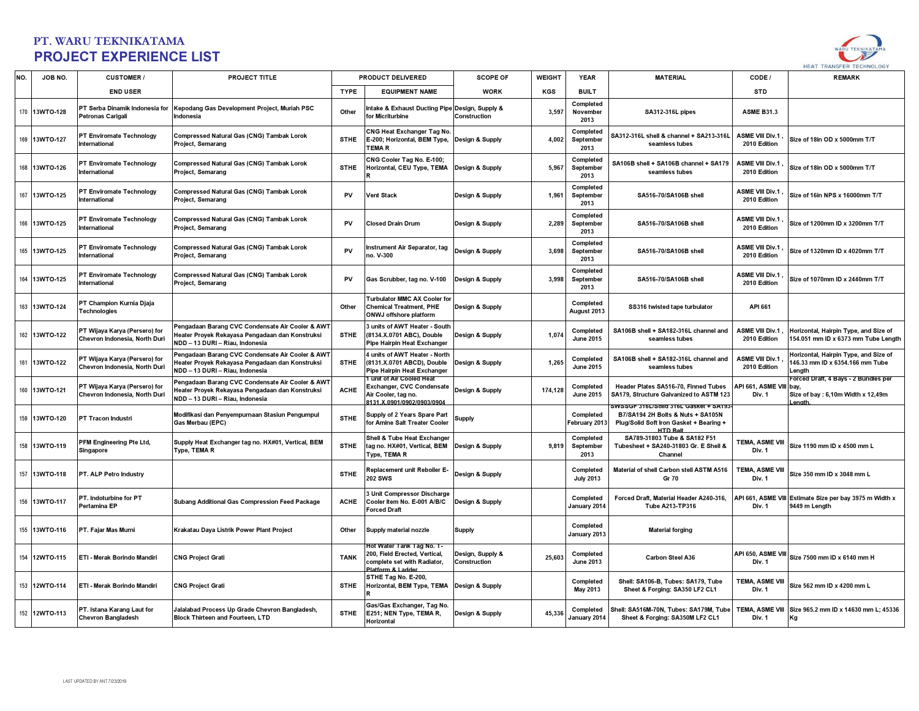

| NO. | JOB NO.       | <b>CUSTOMER/</b>                                               | <b>PROJECT TITLE</b>                                                                                                                   |             | <b>PRODUCT DELIVERED</b>                                                                                       | <b>SCOPE OF</b>                  | <b>WEIGHT</b> | <b>YEAR</b>                    | <b>MATERIAL</b>                                                                                                                         | CODE /                                 | <b>REMARK</b>                                                                              |
|-----|---------------|----------------------------------------------------------------|----------------------------------------------------------------------------------------------------------------------------------------|-------------|----------------------------------------------------------------------------------------------------------------|----------------------------------|---------------|--------------------------------|-----------------------------------------------------------------------------------------------------------------------------------------|----------------------------------------|--------------------------------------------------------------------------------------------|
|     |               | <b>END USER</b>                                                |                                                                                                                                        | <b>TYPE</b> | <b>EQUIPMENT NAME</b>                                                                                          | <b>WORK</b>                      | KGS           | <b>BUILT</b>                   |                                                                                                                                         | <b>STD</b>                             |                                                                                            |
|     | 170 13WTO-128 | PT Serba Dinamik Indonesia for<br>Petronas Carigali            | Kepodang Gas Development Project, Muriah PSC<br>Indonesia                                                                              | Other       | ntake & Exhaust Ducting Pipe Design, Supply &<br>for Micriturbine                                              | Construction                     | 3.597         | Completed<br>November<br>2013  | SA312-316L pipes                                                                                                                        | <b>ASME B31.3</b>                      |                                                                                            |
|     | 169 13WTO-127 | PT Enviromate Technology<br>International                      | Compressed Natural Gas (CNG) Tambak Lorok<br>Project, Semarang                                                                         | <b>STHE</b> | CNG Heat Exchanger Tag No.<br>E-200; Horizontal, BEM Type,<br><b>TEMAR</b>                                     | Design & Supply                  | 4,002         | Completed<br>September<br>2013 | SA312-316L shell & channel + SA213-316L<br>seamless tubes                                                                               | <b>ASME VIII Div.1</b><br>2010 Edition | Size of 18in OD x 5000mm T/T                                                               |
|     | 168 13WTO-126 | PT Enviromate Technology<br>International                      | Compressed Natural Gas (CNG) Tambak Lorok<br>Project, Semarang                                                                         | <b>STHE</b> | CNG Cooler Tag No. E-100;<br>Horizontal, CEU Type, TEMA                                                        | Design & Supply                  | 5,967         | Completed<br>September<br>2013 | SA106B shell + SA106B channel + SA179<br>seamless tubes                                                                                 | <b>ASME VIII Div.1</b><br>2010 Edition | Size of 18in OD x 5000mm T/T                                                               |
|     | 167 13WTO-125 | PT Enviromate Technology<br><b>International</b>               | Compressed Natural Gas (CNG) Tambak Lorok<br>Project, Semarang                                                                         | PV          | <b>Vent Stack</b>                                                                                              | Design & Supply                  | 1,961         | Completed<br>September<br>2013 | SA516-70/SA106B shell                                                                                                                   | <b>ASME VIII Div.1</b><br>2010 Edition | Size of 16in NPS x 16000mm T/T                                                             |
|     | 166 13WTO-125 | PT Enviromate Technology<br><b>International</b>               | Compressed Natural Gas (CNG) Tambak Lorok<br><b>Project, Semarang</b>                                                                  | PV          | <b>Closed Drain Drum</b>                                                                                       | Design & Supply                  | 2,289         | Completed<br>September<br>2013 | SA516-70/SA106B shell                                                                                                                   | <b>ASME VIII Div.1</b><br>2010 Edition | Size of 1200mm ID x 3200mm T/T                                                             |
|     | 165 13WTO-125 | PT Enviromate Technology<br>International                      | <b>Compressed Natural Gas (CNG) Tambak Lorok</b><br><b>Project, Semarang</b>                                                           | PV          | Instrument Air Separator, tag<br>no. V-300                                                                     | Design & Supply                  | 3,698         | Completed<br>September<br>2013 | SA516-70/SA106B shell                                                                                                                   | <b>ASME VIII Div.1</b><br>2010 Edition | Size of 1320mm ID x 4020mm T/T                                                             |
|     | 164 13WTO-125 | PT Enviromate Technology<br>International                      | Compressed Natural Gas (CNG) Tambak Lorok<br>Project, Semarang                                                                         | PV          | Gas Scrubber, tag no. V-100                                                                                    | Design & Supply                  | 3,998         | Completed<br>September<br>2013 | SA516-70/SA106B shell                                                                                                                   | <b>ASME VIII Div.1</b><br>2010 Edition | Size of 1070mm ID x 2440mm T/T                                                             |
|     | 163 13WTO-124 | PT Champion Kurnia Djaja<br><b>Technologies</b>                |                                                                                                                                        | Other       | Turbulator MMC AX Cooler for<br><b>Chemical Treatment, PHE</b><br><b>ONWJ</b> offshore platform                | Design & Supply                  |               | Completed<br>August 2013       | SS316 twisted tape turbulator                                                                                                           | API 661                                |                                                                                            |
|     | 162 13WTO-122 | PT Wijaya Karya (Persero) for<br>Chevron Indonesia, North Duri | Pengadaan Barang CVC Condensate Air Cooler & AWT<br>leater Proyek Rekayasa Pengadaan dan Konstruksi<br>NDD - 13 DURI - Riau, Indonesia | <b>STHE</b> | 3 units of AWT Heater - South<br>(8134.X.0701 ABC), Double<br>Pipe Hairpin Heat Exchanger                      | Design & Supply                  | 1,074         | Completed<br><b>June 2015</b>  | SA106B shell + SA182-316L channel and<br>seamless tubes                                                                                 | ASME VIII Div.1<br>2010 Edition        | Horizontal, Hairpin Type, and Size of<br>54.051 mm ID x 6373 mm Tube Length                |
|     | 161 13WTO-122 | PT Wijaya Karya (Persero) for<br>Chevron Indonesia, North Duri | Pengadaan Barang CVC Condensate Air Cooler & AWT<br>leater Proyek Rekayasa Pengadaan dan Konstruksi<br>NDD - 13 DURI - Riau, Indonesia | <b>STHE</b> | 1 units of AWT Heater - North<br>(8131.X.0701 ABCD), Double<br>Pipe Hairpin Heat Exchanger                     | Design & Supply                  | 1,265         | Completed<br><b>June 2015</b>  | SA106B shell + SA182-316L channel and<br>seamless tubes                                                                                 | <b>ASME VIII Div.1</b><br>2010 Edition | lorizontal, Hairpin Type, and Size of<br>46.33 mm ID x 6354.166 mm Tube<br>Length          |
|     | 160 13WTO-121 | PT Wijaya Karya (Persero) for<br>Chevron Indonesia, North Duri | Pengadaan Barang CVC Condensate Air Cooler & AWT<br>leater Proyek Rekayasa Pengadaan dan Konstruksi<br>NDD - 13 DURI - Riau, Indonesia | <b>ACHE</b> | I unit of Air Cooled Heat<br>Exchanger, CVC Condensate<br>Air Cooler, tag no.<br>131 Y 0901/0902/0903/090      | Design & Supply                  | 174,128       | Completed<br><b>June 2015</b>  | Header Plates SA516-70, Finned Tubes<br>SA179, Structure Galvanized to ASTM 123                                                         | API 661, ASME VIII<br><b>Div. 1</b>    | Forced Draft, 4 Bays - 2 Bundles per<br>bav<br>Size of bay : 6,10m Width x 12,49m<br>enath |
|     | 159 13WTO-120 | PT Tracon Industri                                             | Modifikasi dan Penyempurnaan Stasiun Pengumpul<br>Gas Merbau (EPC)                                                                     | <b>STHE</b> | Supply of 2 Years Spare Part<br>for Amine Salt Treater Cooler                                                  | <b>Supply</b>                    |               | Completed<br>February 2013     | WSSGF 316L/Solid 316L Gasket + SA193<br>B7/SA194 2H Bolts & Nuts + SA105N<br>Plug/Solid Soft Iron Gasket + Bearing +<br><b>HTD Relt</b> |                                        |                                                                                            |
|     | 158 13WTO-119 | PFM Engineering Pte Ltd,<br>Singapore                          | Supply Heat Exchanger tag no. HX#01, Vertical, BEM<br>Type, TEMAR                                                                      | <b>STHE</b> | Shell & Tube Heat Exchanger<br>tag no. HX#01, Vertical, BEM<br>Type, TEMA R                                    | Design & Supply                  | 9,819         | Completed<br>September<br>2013 | SA789-31803 Tube & SA182 F51<br>Tubesheet + SA240-31803 Gr. E Shell &<br>Channel                                                        | TEMA, ASME VIII<br>Div. 1              | Size 1190 mm ID x 4500 mm L                                                                |
|     | 157 13WTO-118 | PT. ALP Petro Industry                                         |                                                                                                                                        | <b>STHE</b> | Replacement unit Reboiler E-<br><b>202 SWS</b>                                                                 | Design & Supply                  |               | Completed<br><b>July 2013</b>  | Material of shell Carbon stell ASTM A516<br>Gr 70                                                                                       | <b>TEMA, ASME VIII</b><br>Div. 1       | Size 350 mm ID x 3048 mm L                                                                 |
|     | 156 13WTO-117 | PT. Indoturbine for PT<br>Pertamina EP                         | Subang Additional Gas Compression Feed Package                                                                                         | <b>ACHE</b> | Unit Compressor Discharge<br>Cooler Item No. E-001 A/B/C<br><b>Forced Draft</b>                                | Design & Supply                  |               | Completed<br>January 2014      | Forced Draft, Material Header A240-316,<br><b>Tube A213-TP316</b>                                                                       | Div. 1                                 | API 661, ASME VIII Estimate Size per bay 3975 m Width x<br>9449 m Lenath                   |
|     | 155 13WTO-116 | PT. Fajar Mas Murni                                            | Krakatau Daya Listrik Power Plant Project                                                                                              | Other       | Supply material nozzle                                                                                         | <b>Supply</b>                    |               | Completed<br>January 2013      | <b>Material forging</b>                                                                                                                 |                                        |                                                                                            |
|     | 154 12WTO-115 | ETI - Merak Borindo Mandiri                                    | <b>CNG Project Grati</b>                                                                                                               | <b>TANK</b> | Hot Water Tank Tag No. T-<br>200, Field Erected, Vertical,<br>complete set with Radiator,<br>Platform & Ladder | Design, Supply &<br>Construction | 25,603        | Completed<br><b>June 2013</b>  | Carbon Steel A36                                                                                                                        | API 650, ASME VIII<br>Div. 1           | Size 7500 mm ID x 6140 mm H                                                                |
|     | 153 12WTO-114 | ETI - Merak Borindo Mandiri                                    | <b>CNG Project Grati</b>                                                                                                               | <b>STHE</b> | STHE Tag No. E-200,<br>Horizontal, BEM Type, TEMA                                                              | Design & Supply                  |               | Completed<br>May 2013          | Shell: SA106-B, Tubes: SA179, Tube<br>Sheet & Forging: SA350 LF2 CL1                                                                    | <b>TEMA, ASME VIII</b><br>Div. 1       | Size 562 mm ID x 4200 mm L                                                                 |
|     | 152 12WTO-113 | PT. Istana Karang Laut for<br><b>Chevron Bangladesh</b>        | Jalalabad Process Up Grade Chevron Bangladesh,<br>Block Thirteen and Fourteen, LTD                                                     | <b>STHE</b> | Gas/Gas Exchanger, Tag No.<br>E251; NEN Type, TEMA R,<br><b>Horizontal</b>                                     | Design & Supply                  | 45,336        | Completed<br>January 2014      | Shell: SA516M-70N, Tubes: SA179M, Tube<br>Sheet & Forging: SA350M LF2 CL1                                                               | <b>TEMA, ASME VIII</b><br>Div. 1       | Size 965.2 mm ID x 14630 mm L; 45336<br>Kg                                                 |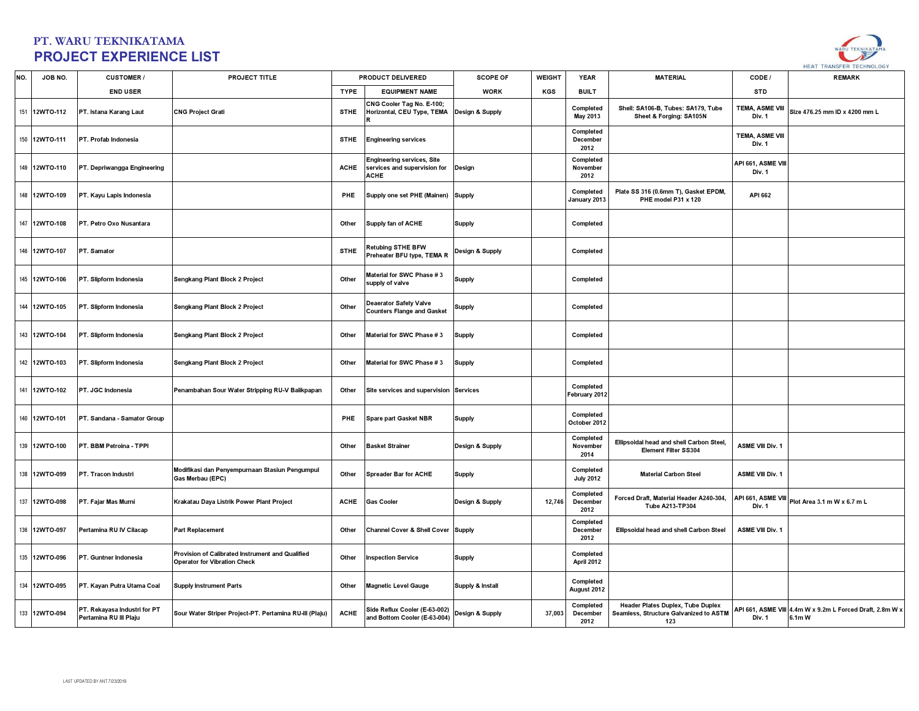

| NO. | JOB NO.       | <b>CUSTOMER/</b>                                       | <b>PROJECT TITLE</b>                                                                    |             | <b>PRODUCT DELIVERED</b>                                                         | <b>SCOPE OF</b>  | <b>WEIGHT</b> | <b>YEAR</b>                   | <b>MATERIAL</b>                                                                    | CODE /                           | <b>REMARK</b>                                                      |
|-----|---------------|--------------------------------------------------------|-----------------------------------------------------------------------------------------|-------------|----------------------------------------------------------------------------------|------------------|---------------|-------------------------------|------------------------------------------------------------------------------------|----------------------------------|--------------------------------------------------------------------|
|     |               | <b>END USER</b>                                        |                                                                                         | <b>TYPE</b> | <b>EQUIPMENT NAME</b>                                                            | <b>WORK</b>      | KGS           | <b>BUILT</b>                  |                                                                                    | <b>STD</b>                       |                                                                    |
|     | 151 12WTO-112 | PT. Istana Karang Laut                                 | <b>CNG Project Grati</b>                                                                | <b>STHE</b> | CNG Cooler Tag No. E-100;<br>Horizontal, CEU Type, TEMA                          | Design & Supply  |               | Completed<br>May 2013         | Shell: SA106-B, Tubes: SA179, Tube<br>Sheet & Forging: SA105N                      | TEMA, ASME VIII<br>Div. 1        | Size 476.25 mm ID x 4200 mm L                                      |
|     | 150 12WTO-111 | PT. Profab Indonesia                                   |                                                                                         | <b>STHE</b> | <b>Engineering services</b>                                                      |                  |               | Completed<br>December<br>2012 |                                                                                    | <b>TEMA, ASME VIII</b><br>Div. 1 |                                                                    |
|     | 149 12WTO-110 | PT. Depriwangga Engineering                            |                                                                                         | <b>ACHE</b> | <b>Engineering services, Site</b><br>services and supervision for<br><b>ACHE</b> | Design           |               | Completed<br>November<br>2012 |                                                                                    | API 661, ASME VIII<br>Div. 1     |                                                                    |
|     | 148 12WTO-109 | PT. Kayu Lapis Indonesia                               |                                                                                         | PHE         | Supply one set PHE (Mainen) Supply                                               |                  |               | Completed<br>January 2013     | Plate SS 316 (0.6mm T), Gasket EPDM,<br>PHE model P31 x 120                        | API 662                          |                                                                    |
|     | 147 12WTO-108 | PT. Petro Oxo Nusantara                                |                                                                                         | Other       | Supply fan of ACHE                                                               | <b>Supply</b>    |               | Completed                     |                                                                                    |                                  |                                                                    |
|     | 146 12WTO-107 | PT. Samator                                            |                                                                                         | <b>STHE</b> | <b>Retubing STHE BFW</b><br>Preheater BFU type, TEMA R                           | Design & Supply  |               | Completed                     |                                                                                    |                                  |                                                                    |
|     | 145 12WTO-106 | PT. Slipform Indonesia                                 | Sengkang Plant Block 2 Project                                                          | Other       | Material for SWC Phase #3<br>supply of valve                                     | <b>Supply</b>    |               | Completed                     |                                                                                    |                                  |                                                                    |
|     | 144 12WTO-105 | PT. Slipform Indonesia                                 | Sengkang Plant Block 2 Project                                                          | Other       | <b>Deaerator Safety Valve</b><br><b>Counters Flange and Gasket</b>               | <b>Supply</b>    |               | Completed                     |                                                                                    |                                  |                                                                    |
|     | 143 12WTO-104 | PT. Slipform Indonesia                                 | Sengkang Plant Block 2 Project                                                          | Other       | Material for SWC Phase # 3                                                       | <b>Supply</b>    |               | Completed                     |                                                                                    |                                  |                                                                    |
|     | 142 12WTO-103 | PT. Slipform Indonesia                                 | Sengkang Plant Block 2 Project                                                          | Other       | Material for SWC Phase #3                                                        | <b>Supply</b>    |               | Completed                     |                                                                                    |                                  |                                                                    |
|     | 141 12WTO-102 | PT. JGC Indonesia                                      | Penambahan Sour Water Stripping RU-V Balikpapan                                         | Other       | Site services and supervision Services                                           |                  |               | Completed<br>February 2012    |                                                                                    |                                  |                                                                    |
|     | 140 12WTO-101 | PT. Sandana - Samator Group                            |                                                                                         | PHE         | Spare part Gasket NBR                                                            | <b>Supply</b>    |               | Completed<br>October 2012     |                                                                                    |                                  |                                                                    |
|     | 139 12WTO-100 | PT. BBM Petroina - TPPI                                |                                                                                         | Other       | <b>Basket Strainer</b>                                                           | Design & Supply  |               | Completed<br>November<br>2014 | Ellipsoidal head and shell Carbon Steel,<br><b>Element Filter SS304</b>            | <b>ASME VIII Div. 1</b>          |                                                                    |
|     | 138 12WTO-099 | PT. Tracon Industri                                    | Modifikasi dan Penyempurnaan Stasiun Pengumpul<br>Gas Merbau (EPC)                      | Other       | <b>Spreader Bar for ACHE</b>                                                     | <b>Supply</b>    |               | Completed<br><b>July 2012</b> | <b>Material Carbon Steel</b>                                                       | <b>ASME VIII Div. 1</b>          |                                                                    |
|     | 137 12WTO-098 | PT. Fajar Mas Murni                                    | Krakatau Daya Listrik Power Plant Project                                               | ACHE        | <b>Gas Cooler</b>                                                                | Design & Supply  | 12,746        | Completed<br>December<br>2012 | Forced Draft, Material Header A240-304,<br><b>Tube A213-TP304</b>                  | API 661, ASME VIII<br>Div. 1     | Plot Area 3.1 m W x 6.7 m L                                        |
|     | 136 12WTO-097 | Pertamina RU IV Cilacap                                | <b>Part Replacement</b>                                                                 | Other       | Channel Cover & Shell Cover Supply                                               |                  |               | Completed<br>December<br>2012 | Ellipsoidal head and shell Carbon Steel                                            | ASME VIII Div. 1                 |                                                                    |
|     | 135 12WTO-096 | PT. Guntner Indonesia                                  | Provision of Calibrated Instrument and Qualified<br><b>Operator for Vibration Check</b> | Other       | <b>Inspection Service</b>                                                        | <b>Supply</b>    |               | Completed<br>April 2012       |                                                                                    |                                  |                                                                    |
|     | 134 12WTO-095 | PT. Kayan Putra Utama Coal                             | <b>Supply Instrument Parts</b>                                                          | Other       | <b>Magnetic Level Gauge</b>                                                      | Supply & Install |               | Completed<br>August 2012      |                                                                                    |                                  |                                                                    |
|     | 133 12WTO-094 | PT. Rekayasa Industri for PT<br>Pertamina RU III Plaju | Sour Water Striper Project-PT. Pertamina RU-III (Plaju)                                 | <b>ACHE</b> | Side Reflux Cooler (E-63-002)<br>and Bottom Cooler (E-63-004)                    | Design & Supply  | 37,003        | Completed<br>December<br>2012 | Header Plates Duplex, Tube Duplex<br>Seamless, Structure Galvanized to ASTM<br>123 | Div. 1                           | API 661, ASME VIII 4.4m W x 9.2m L Forced Draft, 2.8m W x<br>6.1mW |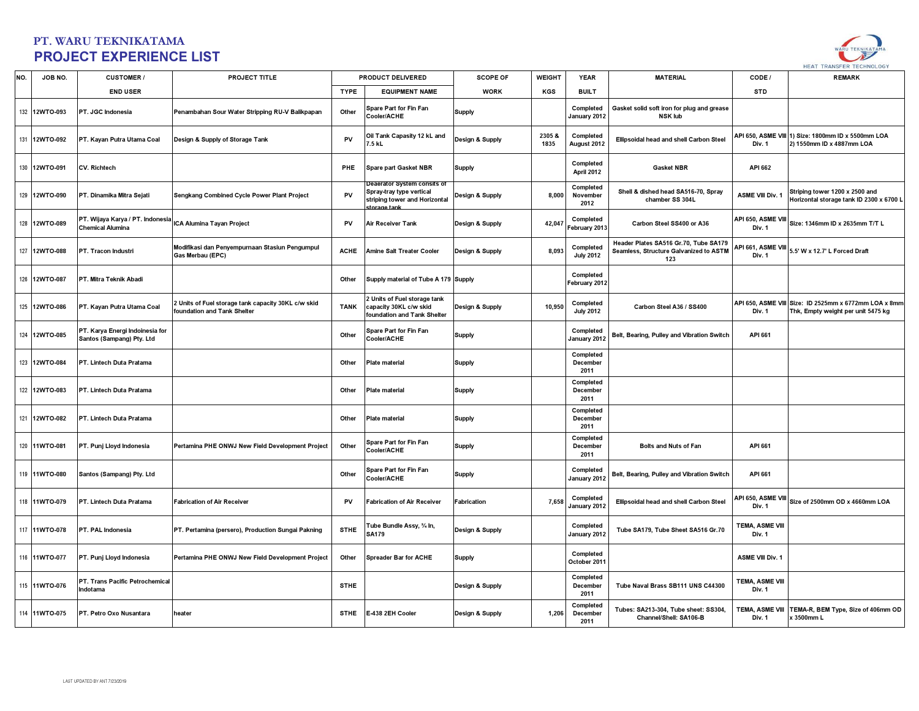

| NO. | JOB NO.       | <b>CUSTOMER/</b>                                             | <b>PROJECT TITLE</b>                                                             |             | PRODUCT DELIVERED                                                                                       | <b>SCOPE OF</b>    | <b>WEIGHT</b> | <b>YEAR</b>                   | <b>MATERIAL</b>                                                                        | CODE /                           | <b>REMARK</b>                                                                               |
|-----|---------------|--------------------------------------------------------------|----------------------------------------------------------------------------------|-------------|---------------------------------------------------------------------------------------------------------|--------------------|---------------|-------------------------------|----------------------------------------------------------------------------------------|----------------------------------|---------------------------------------------------------------------------------------------|
|     |               | <b>END USER</b>                                              |                                                                                  | <b>TYPE</b> | <b>EQUIPMENT NAME</b>                                                                                   | <b>WORK</b>        | KGS           | <b>BUILT</b>                  |                                                                                        | <b>STD</b>                       |                                                                                             |
|     | 132 12WTO-093 | PT. JGC Indonesia                                            | Penambahan Sour Water Stripping RU-V Balikpapan                                  | Other       | Spare Part for Fin Fan<br>Cooler/ACHE                                                                   | <b>Supply</b>      |               | Completed<br>January 2012     | Gasket solid soft iron for plug and grease<br><b>NSK lub</b>                           |                                  |                                                                                             |
|     | 131 12WTO-092 | PT. Kayan Putra Utama Coal                                   | Design & Supply of Storage Tank                                                  | PV          | Oil Tank Capasity 12 kL and<br>7.5 kL                                                                   | Design & Supply    | 2305&<br>1835 | Completed<br>August 2012      | Ellipsoidal head and shell Carbon Steel                                                | Div. 1                           | API 650, ASME VIII 1) Size: 1800mm ID x 5500mm LOA<br>2) 1550mm ID x 4887mm LOA             |
|     | 130 12WTO-091 | <b>CV. Richtech</b>                                          |                                                                                  | <b>PHE</b>  | Spare part Gasket NBR                                                                                   | <b>Supply</b>      |               | Completed<br>April 2012       | <b>Gasket NBR</b>                                                                      | API 662                          |                                                                                             |
|     | 129 12WTO-090 | PT. Dinamika Mitra Sejati                                    | Sengkang Combined Cycle Power Plant Project                                      | PV          | Deaerator System consits of<br>Spray-tray type vertical<br>striping tower and Horizontal<br>torage tank | Design & Supply    | 8,000         | Completed<br>November<br>2012 | Shell & dished head SA516-70, Spray<br>chamber SS 304L                                 | ASME VIII Div. 1                 | Striping tower 1200 x 2500 and<br>Horizontal storage tank ID 2300 x 6700 L                  |
|     | 128 12WTO-089 | PT. Wijaya Karya / PT. Indonesia<br><b>Chemical Alumina</b>  | ICA Alumina Tayan Project                                                        | PV          | Air Receiver Tank                                                                                       | Design & Supply    | 42,047        | Completed<br>February 2013    | Carbon Steel SS400 or A36                                                              | API 650, ASME VIII<br>Div. 1     | Size: 1346mm ID x 2635mm T/T L                                                              |
|     | 127 12WTO-088 | PT. Tracon Industri                                          | Modifikasi dan Penyempurnaan Stasiun Pengumpul<br>Gas Merbau (EPC)               | <b>ACHE</b> | <b>Amine Salt Treater Cooler</b>                                                                        | Design & Supply    | 8,093         | Completed<br><b>July 2012</b> | Header Plates SA516 Gr.70, Tube SA179<br>Seamless, Structure Galvanized to ASTM<br>123 | Div. 1                           | API 661, ASME VIII 5.5' W x 12.7' L Forced Draft                                            |
|     | 126 12WTO-087 | PT. Mitra Teknik Abadi                                       |                                                                                  | Other       | Supply material of Tube A 179 Supply                                                                    |                    |               | Completed<br>February 2012    |                                                                                        |                                  |                                                                                             |
|     | 125 12WTO-086 | PT. Kayan Putra Utama Coal                                   | Units of Fuel storage tank capacity 30KL c/w skid<br>foundation and Tank Shelter | <b>TANK</b> | <b>Units of Fuel storage tank</b><br>capacity 30KL c/w skid<br>foundation and Tank Shelter              | Design & Supply    | 10,950        | Completed<br><b>July 2012</b> | Carbon Steel A36 / SS400                                                               | Div. 1                           | API 650, ASME VIII Size: ID 2525mm x 6772mm LOA x 8mm<br>Thk, Empty weight per unit 5475 kg |
|     | 124 12WTO-085 | PT. Karya Energi Indoinesia for<br>Santos (Sampang) Pty. Ltd |                                                                                  | Other       | Spare Part for Fin Fan<br>Cooler/ACHE                                                                   | <b>Supply</b>      |               | Completed<br>January 2012     | Belt, Bearing, Pulley and Vibration Switch                                             | API 661                          |                                                                                             |
|     | 123 12WTO-084 | PT. Lintech Duta Pratama                                     |                                                                                  | Other       | Plate material                                                                                          | <b>Supply</b>      |               | Completed<br>December<br>2011 |                                                                                        |                                  |                                                                                             |
|     | 122 12WTO-083 | PT. Lintech Duta Pratama                                     |                                                                                  | Other       | Plate material                                                                                          | <b>Supply</b>      |               | Completed<br>December<br>2011 |                                                                                        |                                  |                                                                                             |
|     | 121 12WTO-082 | PT. Lintech Duta Pratama                                     |                                                                                  | Other       | Plate material                                                                                          | <b>Supply</b>      |               | Completed<br>December<br>2011 |                                                                                        |                                  |                                                                                             |
|     | 120 11WTO-081 | PT. Punj Lloyd Indonesia                                     | Pertamina PHE ONWJ New Field Development Project                                 | Other       | Spare Part for Fin Fan<br>Cooler/ACHE                                                                   | <b>Supply</b>      |               | Completed<br>December<br>2011 | <b>Bolts and Nuts of Fan</b>                                                           | API 661                          |                                                                                             |
|     | 119 11WTO-080 | Santos (Sampang) Pty. Ltd                                    |                                                                                  | Other       | Spare Part for Fin Fan<br>Cooler/ACHE                                                                   | <b>Supply</b>      |               | Completed<br>January 2012     | Belt, Bearing, Pulley and Vibration Switch                                             | API 661                          |                                                                                             |
| 118 | 11WTO-079     | PT. Lintech Duta Pratama                                     | <b>Fabrication of Air Receiver</b>                                               | PV          | <b>Fabrication of Air Receiver</b>                                                                      | <b>Fabrication</b> | 7,658         | Completed<br>January 2012     | Ellipsoidal head and shell Carbon Steel                                                | Div. 1                           | API 650, ASME VIII Size of 2500mm OD x 4660mm LOA                                           |
|     | 117 11WTO-078 | PT. PAL Indonesia                                            | PT. Pertamina (persero), Production Sungai Pakning                               | <b>STHE</b> | lube Bundle Assy, ¾ In,<br>SA179                                                                        | Design & Supply    |               | Completed<br>January 2012     | Tube SA179, Tube Sheet SA516 Gr.70                                                     | TEMA, ASME VIII<br>Div. 1        |                                                                                             |
|     | 116 11WTO-077 | PT. Punj Lloyd Indonesia                                     | Pertamina PHE ONWJ New Field Development Project                                 | Other       | <b>Spreader Bar for ACHE</b>                                                                            | <b>Supply</b>      |               | Completed<br>October 2011     |                                                                                        | <b>ASME VIII Div. 1</b>          |                                                                                             |
|     | 115 11WTO-076 | PT. Trans Pacific Petrochemical<br>Indotama                  |                                                                                  | <b>STHE</b> |                                                                                                         | Design & Supply    |               | Completed<br>December<br>2011 | Tube Naval Brass SB111 UNS C44300                                                      | TEMA, ASME VIII<br>Div. 1        |                                                                                             |
|     | 114 11WTO-075 | PT. Petro Oxo Nusantara                                      | heater                                                                           | <b>STHE</b> | E-438 2EH Cooler                                                                                        | Design & Supply    | 1,206         | Completed<br>December<br>2011 | Tubes: SA213-304, Tube sheet: SS304,<br>Channel/Shell: SA106-B                         | <b>TEMA, ASME VIII</b><br>Div. 1 | TEMA-R, BEM Type, Size of 406mm OD<br>x 3500mm L                                            |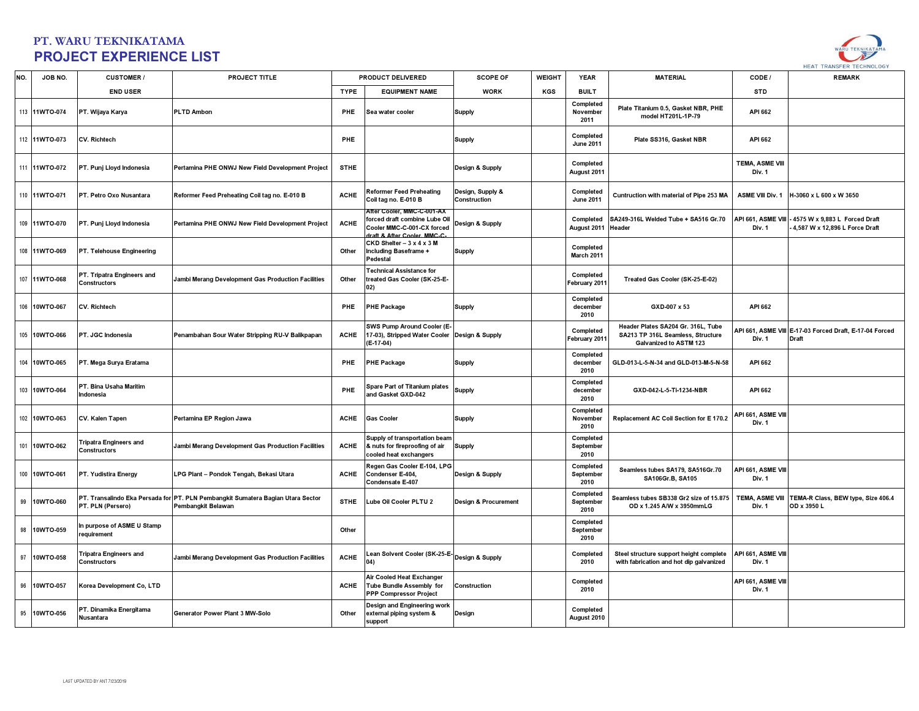

| NO. | JOB NO.       | <b>CUSTOMER/</b>                              | PROJECT TITLE                                                                                         |             | PRODUCT DELIVERED                                                                                                    | <b>SCOPE OF</b>                  | <b>WEIGHT</b> | <b>YEAR</b>                    | <b>MATERIAL</b>                                                                                   | CODE /                           | <b>REMARK</b>                                                           |
|-----|---------------|-----------------------------------------------|-------------------------------------------------------------------------------------------------------|-------------|----------------------------------------------------------------------------------------------------------------------|----------------------------------|---------------|--------------------------------|---------------------------------------------------------------------------------------------------|----------------------------------|-------------------------------------------------------------------------|
|     |               | <b>END USER</b>                               |                                                                                                       | <b>TYPE</b> | <b>EQUIPMENT NAME</b>                                                                                                | <b>WORK</b>                      | KGS           | <b>BUILT</b>                   |                                                                                                   | <b>STD</b>                       |                                                                         |
|     | 113 11WTO-074 | PT. Wijaya Karya                              | <b>PLTD Ambon</b>                                                                                     | PHE         | Sea water cooler                                                                                                     | <b>Supply</b>                    |               | Completed<br>November<br>2011  | Plate Titanium 0.5, Gasket NBR, PHE<br>model HT201L-1P-79                                         | API 662                          |                                                                         |
|     | 112 11WTO-073 | CV. Richtech                                  |                                                                                                       | PHE         |                                                                                                                      | <b>Supply</b>                    |               | Completed<br><b>June 2011</b>  | Plate SS316, Gasket NBR                                                                           | API 662                          |                                                                         |
|     | 111 11WTO-072 | PT. Punj Lloyd Indonesia                      | Pertamina PHE ONWJ New Field Development Project                                                      | <b>STHE</b> |                                                                                                                      | Design & Supply                  |               | Completed<br>August 2011       |                                                                                                   | <b>TEMA, ASME VIII</b><br>Div. 1 |                                                                         |
|     | 110 11WTO-071 | PT. Petro Oxo Nusantara                       | Reformer Feed Preheating Coil tag no. E-010 B                                                         | <b>ACHE</b> | Reformer Feed Preheating<br>Coil tag no. E-010 B                                                                     | Design, Supply &<br>Construction |               | Completed<br><b>June 2011</b>  | Cuntruction with material of Pipe 253 MA                                                          | ASME VIII Div. 1                 | H-3060 x L 600 x W 3650                                                 |
|     | 109 11WTO-070 | PT. Punj Lloyd Indonesia                      | Pertamina PHE ONWJ New Field Development Project                                                      | <b>ACHE</b> | After Cooler. MMC-C-001-AX<br>forced draft combine Lube Oil<br>Cooler MMC-C-001-CX forced<br>raft & After Cooler MMC | Design & Supply                  |               | Completed<br>August 2011       | SA249-316L Welded Tube + SA516 Gr.70<br>Header                                                    | API 661, ASME VIII<br>Div. 1     | 4575 W x 9,883 L Forced Draft<br>4,587 W x 12,896 L Force Draft         |
|     | 108 11WTO-069 | PT. Telehouse Engineering                     |                                                                                                       | Other       | $CKD$ Shelter $-3 \times 4 \times 3$ M<br>Including Baseframe +<br>Pedestal                                          | <b>Supply</b>                    |               | Completed<br>March 2011        |                                                                                                   |                                  |                                                                         |
|     | 107 11WTO-068 | PT. Tripatra Engineers and<br>Constructors    | Jambi Merang Development Gas Production Facilities                                                    | Other       | <b>Technical Assistance for</b><br>treated Gas Cooler (SK-25-E-<br>02)                                               |                                  |               | Completed<br>February 2011     | Treated Gas Cooler (SK-25-E-02)                                                                   |                                  |                                                                         |
|     | 106 10WTO-067 | CV. Richtech                                  |                                                                                                       | PHE         | <b>PHE Package</b>                                                                                                   | <b>Supply</b>                    |               | Completed<br>december<br>2010  | GXD-007 x 53                                                                                      | API 662                          |                                                                         |
|     | 105 10WTO-066 | PT. JGC Indonesia                             | Penambahan Sour Water Stripping RU-V Balikpapan                                                       | <b>ACHE</b> | SWS Pump Around Cooler (E-<br>17-03), Stripped Water Cooler Design & Supply<br>(E-17-04)                             |                                  |               | Completed<br>February 2011     | Header Plates SA204 Gr. 316L. Tube<br>SA213 TP 316L Seamless, Structure<br>Galvanized to ASTM 123 | Div. 1                           | API 661, ASME VIII E-17-03 Forced Draft, E-17-04 Forced<br><b>Draft</b> |
|     | 104 10WTO-065 | PT. Mega Surya Eratama                        |                                                                                                       | PHE         | <b>PHE Package</b>                                                                                                   | <b>Supply</b>                    |               | Completed<br>december<br>2010  | GLD-013-L-5-N-34 and GLD-013-M-5-N-58                                                             | API 662                          |                                                                         |
|     | 103 10WTO-064 | PT. Bina Usaha Maritim<br>Indonesia           |                                                                                                       | PHE         | Spare Part of Titanium plates<br>and Gasket GXD-042                                                                  | Supply                           |               | Completed<br>december<br>2010  | GXD-042-L-5-Ti-1234-NBR                                                                           | API 662                          |                                                                         |
|     | 102 10WTO-063 | CV. Kalen Tapen                               | Pertamina EP Region Jawa                                                                              | <b>ACHE</b> | <b>Gas Cooler</b>                                                                                                    | <b>Supply</b>                    |               | Completed<br>November<br>2010  | Replacement AC Coil Section for E 170.2                                                           | API 661, ASME VIII<br>Div. 1     |                                                                         |
|     | 101 10WTO-062 | <b>Tripatra Engineers and</b><br>Constructors | Jambi Merang Development Gas Production Facilities                                                    | <b>ACHE</b> | Supply of transportation beam<br>& nuts for fireproofing of air<br>cooled heat exchangers                            | <b>Supply</b>                    |               | Completed<br>September<br>2010 |                                                                                                   |                                  |                                                                         |
|     | 100 10WTO-061 | PT. Yudistira Energy                          | LPG Plant - Pondok Tengah, Bekasi Utara                                                               | <b>ACHE</b> | Regen Gas Cooler E-104, LPG<br>Condenser E-404,<br>Condensate E-407                                                  | Design & Supply                  |               | Completed<br>September<br>2010 | Seamless tubes SA179, SA516Gr.70<br>SA106Gr.B, SA105                                              | API 661, ASME VIII<br>Div. 1     |                                                                         |
|     | 99 10WTO-060  | PT. PLN (Persero)                             | PT. Transalindo Eka Persada for PT. PLN Pembangkit Sumatera Bagian Utara Sector<br>Pembangkit Belawan | <b>STHE</b> | Lube Oil Cooler PLTU 2                                                                                               | Design & Procurement             |               | Completed<br>September<br>2010 | Seamless tubes SB338 Gr2 size of 15.875<br>OD x 1.245 A/W x 3950mmLG                              | <b>TEMA, ASME VIII</b><br>Div. 1 | TEMA-R Class, BEW type, Size 406.4<br>OD x 3950 L                       |
|     | 98 10WTO-059  | In purpose of ASME U Stamp<br>equirement      |                                                                                                       | Other       |                                                                                                                      |                                  |               | Completed<br>September<br>2010 |                                                                                                   |                                  |                                                                         |
|     | 97 10WTO-058  | <b>Tripatra Engineers and</b><br>Constructors | Jambi Merang Development Gas Production Facilities                                                    | <b>ACHE</b> | Lean Solvent Cooler (SK-25-E- Design & Supply<br>04)                                                                 |                                  |               | Completed<br>2010              | Steel structure support height complete<br>with fabrication and hot dip galvanized                | API 661, ASME VIII<br>Div. 1     |                                                                         |
|     | 96 10WTO-057  | Korea Development Co, LTD                     |                                                                                                       | <b>ACHE</b> | Air Cooled Heat Exchanger<br>Tube Bundle Assembly for<br><b>PPP Compressor Project</b>                               | Construction                     |               | Completed<br>2010              |                                                                                                   | API 661, ASME VIII<br>Div. 1     |                                                                         |
|     | 95 10WTO-056  | PT. Dinamika Energitama<br>Nusantara          | Generator Power Plant 3 MW-Solo                                                                       | Other       | Design and Engineering work<br>external piping system &<br>support                                                   | Design                           |               | Completed<br>August 2010       |                                                                                                   |                                  |                                                                         |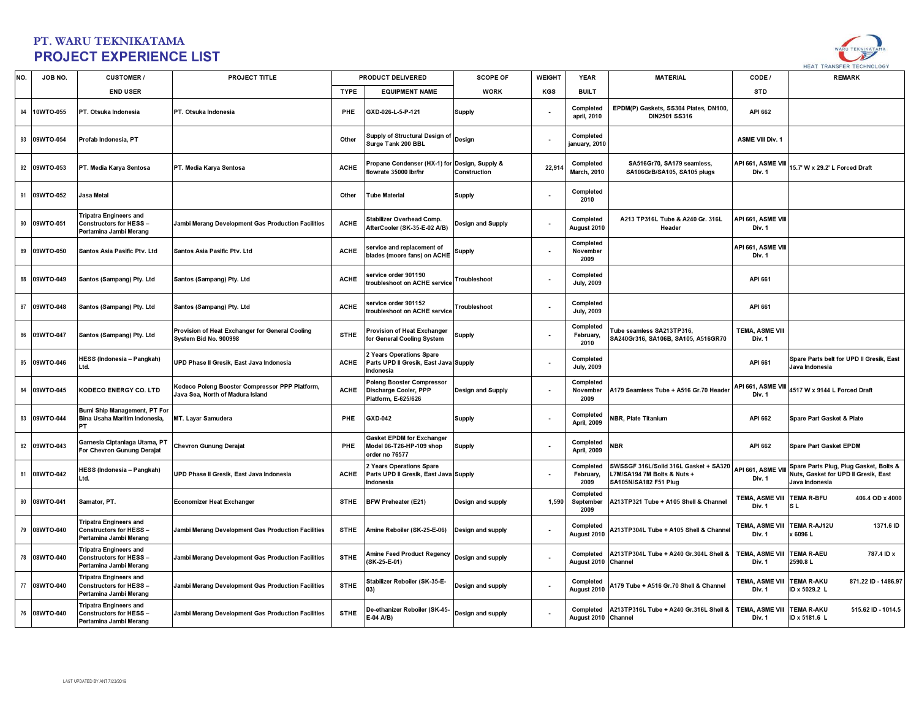

| NO. | JOB NO.      | <b>CUSTOMER/</b>                                                                         | <b>PROJECT TITLE</b>                                                               |             | PRODUCT DELIVERED                                                            | <b>SCOPE OF</b>   | <b>WEIGHT</b> | <b>YEAR</b>                      | <b>MATERIAL</b>                                                                               | CODE /                           | <b>REMARK</b>                                                                                    |
|-----|--------------|------------------------------------------------------------------------------------------|------------------------------------------------------------------------------------|-------------|------------------------------------------------------------------------------|-------------------|---------------|----------------------------------|-----------------------------------------------------------------------------------------------|----------------------------------|--------------------------------------------------------------------------------------------------|
|     |              | <b>END USER</b>                                                                          |                                                                                    | <b>TYPE</b> | <b>EQUIPMENT NAME</b>                                                        | <b>WORK</b>       | KGS           | <b>BUILT</b>                     |                                                                                               | <b>STD</b>                       |                                                                                                  |
| 94  | 10WTO-055    | PT. Otsuka Indonesia                                                                     | PT. Otsuka Indonesia                                                               | <b>PHE</b>  | GXD-026-L-5-P-121                                                            | <b>Supply</b>     |               | Completed<br>april, 2010         | EPDM(P) Gaskets, SS304 Plates, DN100,<br><b>DIN2501 SS316</b>                                 | API 662                          |                                                                                                  |
|     | 93 09WTO-054 | Profab Indonesia, PT                                                                     |                                                                                    | Other       | Supply of Structural Design of<br>Surge Tank 200 BBL                         | Design            |               | Completed<br>january, 2010       |                                                                                               | <b>ASME VIII Div. 1</b>          |                                                                                                  |
|     | 92 09WTO-053 | PT. Media Karya Sentosa                                                                  | PT. Media Karya Sentosa                                                            | <b>ACHE</b> | Propane Condenser (HX-1) for Design, Supply &<br>flowrate 35000 lbr/hr       | Construction      | 22,914        | Completed<br><b>March, 2010</b>  | SA516Gr70, SA179 seamless,<br>SA106GrB/SA105, SA105 plugs                                     | API 661, ASME VIII<br>Div. 1     | 15.7' W x 29.2' L Forced Draft                                                                   |
|     | 91 09WTO-052 | Jasa Metal                                                                               |                                                                                    | Other       | <b>Tube Material</b>                                                         | <b>Supply</b>     |               | Completed<br>2010                |                                                                                               |                                  |                                                                                                  |
|     | 90 09WTO-051 | ripatra Engineers and<br><b>Constructors for HESS-</b><br>Pertamina Jambi Merang         | Jambi Merang Development Gas Production Facilities                                 | <b>ACHE</b> | Stabilizer Overhead Comp.<br>AfterCooler (SK-35-E-02 A/B)                    | Design and Supply |               | Completed<br>August 2010         | A213 TP316L Tube & A240 Gr. 316L<br>Header                                                    | API 661, ASME VIII<br>Div. 1     |                                                                                                  |
|     | 89 09WTO-050 | Santos Asia Pasific Ptv. Ltd                                                             | Santos Asia Pasific Ptv. Ltd                                                       | <b>ACHE</b> | service and replacement of<br>blades (moore fans) on ACHE                    | <b>Supply</b>     |               | Completed<br>November<br>2009    |                                                                                               | API 661, ASME VIII<br>Div. 1     |                                                                                                  |
| 88  | 09WTO-049    | Santos (Sampang) Pty. Ltd                                                                | Santos (Sampang) Pty. Ltd                                                          | <b>ACHE</b> | service order 901190<br>roubleshoot on ACHE service                          | Troubleshoot      |               | Completed<br><b>July, 2009</b>   |                                                                                               | API 661                          |                                                                                                  |
| 87  | 09WTO-048    | Santos (Sampang) Pty. Ltd                                                                | Santos (Sampang) Pty. Ltd                                                          | <b>ACHE</b> | service order 901152<br>roubleshoot on ACHE service                          | Troubleshoot      |               | Completed<br><b>July, 2009</b>   |                                                                                               | API 661                          |                                                                                                  |
|     | 86 09WTO-047 | Santos (Sampang) Pty. Ltd                                                                | Provision of Heat Exchanger for General Cooling<br>System Bid No. 900998           | <b>STHE</b> | Provision of Heat Exchanger<br>or General Cooling System                     | <b>Supply</b>     |               | Completed<br>February,<br>2010   | Tube seamless SA213TP316,<br>SA240Gr316, SA106B, SA105, A516GR70                              | <b>TEMA, ASME VIII</b><br>Div. 1 |                                                                                                  |
|     | 85 09WTO-046 | <b>IESS (Indonesia – Pangkah)</b><br>Ltd.                                                | UPD Phase II Gresik, East Java Indonesia                                           | <b>ACHE</b> | Years Operations Spare<br>Parts UPD II Gresik, East Java Supply<br>Indonesia |                   |               | Completed<br><b>July, 2009</b>   |                                                                                               | API 661                          | Spare Parts belt for UPD II Gresik, East<br>Java Indonesia                                       |
|     | 84 09WTO-045 | <b>KODECO ENERGY CO. LTD</b>                                                             | Kodeco Poleng Booster Compressor PPP Platform,<br>Java Sea. North of Madura Island | <b>ACHE</b> | Oleng Booster Compressor<br>Discharge Cooler, PPP<br>Platform, E-625/626     | Design and Supply |               | Completed<br>November<br>2009    | A179 Seamless Tube + A516 Gr.70 Header                                                        | API 661, ASME VIII<br>Div. 1     | 4517 W x 9144 L Forced Draft                                                                     |
|     | 83 09WTO-044 | Bumi Ship Management, PT For<br>Bina Usaha Maritim Indonesia,<br>PT                      | MT. Layar Samudera                                                                 | PHE         | GXD-042                                                                      | <b>Supply</b>     |               | Completed<br><b>April, 2009</b>  | <b>NBR, Plate Titanium</b>                                                                    | API 662                          | Spare Part Gasket & Plate                                                                        |
|     | 82 09WTO-043 | Garnesia Ciptaniaga Utama, PT<br>For Chevron Gunung Derajat                              | <b>Chevron Gunung Derajat</b>                                                      | PHE         | Gasket EPDM for Exchanger<br>Model 06-T26-HP-109 shop<br>order no 76577      | <b>Supply</b>     |               | Completed<br><b>April, 2009</b>  | NBR                                                                                           | API 662                          | Spare Part Gasket EPDM                                                                           |
|     | 81 08WTO-042 | <b>IESS (Indonesia – Pangkah)</b><br>Ltd.                                                | UPD Phase II Gresik, East Java Indonesia                                           | <b>ACHE</b> | Years Operations Spare<br>Parts UPD II Gresik, East Java Supply<br>Indonesia |                   |               | Completed<br>February,<br>2009   | SWSSGF 316L/Solid 316L Gasket + SA320<br>-7M/SA194 7M Bolts & Nuts +<br>SA105N/SA182 F51 Plug | API 661, ASME VI<br>Div. 1       | Spare Parts Plug, Plug Gasket, Bolts &<br>Nuts, Gasket for UPD II Gresik, East<br>Java Indonesia |
|     | 80 08WTO-041 | Samator, PT.                                                                             | <b>Economizer Heat Exchanger</b>                                                   | <b>STHE</b> | <b>BFW Preheater (E21)</b>                                                   | Design and supply | 1,590         | Completed<br>September<br>2009   | A213TP321 Tube + A105 Shell & Channel                                                         | TEMA, ASME VIII<br>Div. 1        | <b>TEMA R-BFU</b><br>406.4 OD x 4000<br>s i                                                      |
| 79  | 08WTO-040    | Tripatra Engineers and<br><b>Constructors for HESS-</b><br>Pertamina Jambi Merang        | Jambi Merang Development Gas Production Facilities                                 | STHE        | Amine Reboiler (SK-25-E-06)                                                  | Design and supply |               | Completed<br>August 2010         | <b>A213TP304L Tube + A105 Shell &amp; Channe</b>                                              | TEMA, ASME VIII<br>Div. 1        | 1371.6 ID<br>EMA R-AJ12U<br>6096L                                                                |
|     | 78 08WTO-040 | Tripatra Engineers and<br><b>Constructors for HESS-</b><br>Pertamina Jambi Merang        | Jambi Merang Development Gas Production Facilities                                 | <b>STHE</b> | Amine Feed Product Regency<br>SK-25-E-01)                                    | Design and supply |               | Completed<br>August 2010 Channel | A213TP304L Tube + A240 Gr.304L Shell &                                                        | <b>TEMA, ASME VIII</b><br>Div. 1 | <b>TEMA R-AEU</b><br>787.4 ID x<br>2590.8 L                                                      |
|     | 77 08WTO-040 | <b>Tripatra Engineers and</b><br><b>Constructors for HESS-</b><br>Pertamina Jambi Merang | Jambi Merang Development Gas Production Facilities                                 | <b>STHE</b> | Stabilizer Reboiler (SK-35-E-<br>03)                                         | Design and supply |               | Completed<br>August 2010         | 4179 Tube + A516 Gr.70 Shell & Channel                                                        | <b>TEMA, ASME VIII</b><br>Div. 1 | <b>TEMA R-AKU</b><br>871.22 ID - 1486.97<br>ID x 5029.2 L                                        |
|     | 76 08WTO-040 | <b>Tripatra Engineers and</b><br><b>Constructors for HESS-</b><br>Pertamina Jambi Merang | Jambi Merang Development Gas Production Facilities                                 | <b>STHE</b> | De-ethanizer Reboiler (SK-45<br>E-04 A/B)                                    | Design and supply |               | August 2010 Channel              | Completed A213TP316L Tube + A240 Gr.316L Shell &                                              | <b>TEMA, ASME VIII</b><br>Div. 1 | <b>TEMA R-AKU</b><br>515.62 ID - 1014.5<br>ID x 5181.6 L                                         |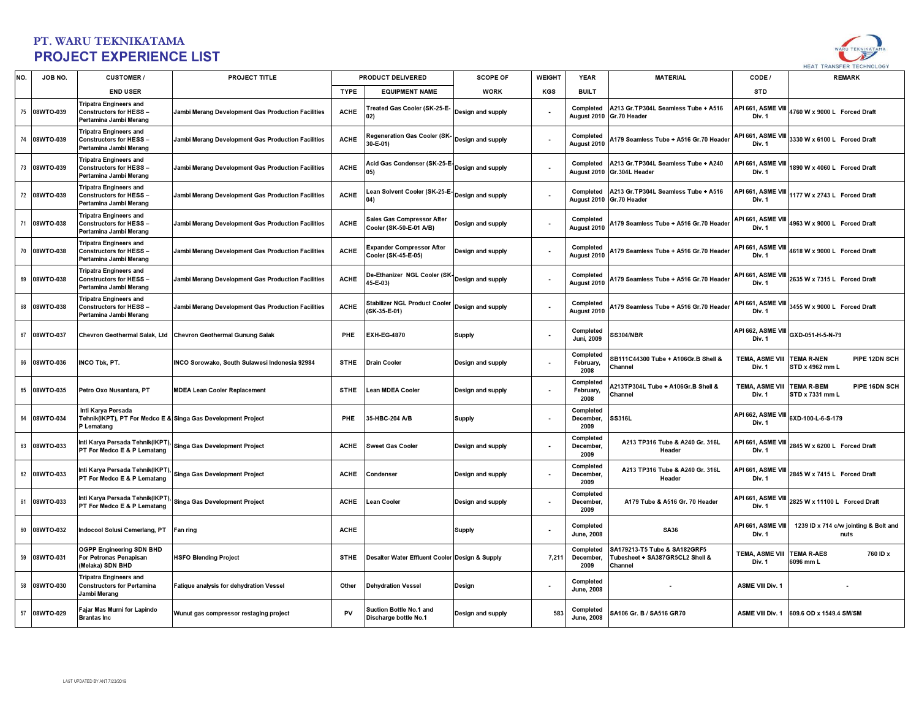

| NO.    | JOB NO.      | <b>CUSTOMER/</b>                                                                                 | <b>PROJECT TITLE</b>                                          |             | <b>PRODUCT DELIVERED</b>                                  | <b>SCOPE OF</b>   | <b>WEIGHT</b> | <b>YEAR</b>                    | <b>MATERIAL</b>                                                            | CODE /                                      | <b>REMARK</b>                                   |
|--------|--------------|--------------------------------------------------------------------------------------------------|---------------------------------------------------------------|-------------|-----------------------------------------------------------|-------------------|---------------|--------------------------------|----------------------------------------------------------------------------|---------------------------------------------|-------------------------------------------------|
|        |              | <b>END USER</b>                                                                                  |                                                               | <b>TYPE</b> | <b>EQUIPMENT NAME</b>                                     | <b>WORK</b>       | KGS           | <b>BUILT</b>                   |                                                                            | <b>STD</b>                                  |                                                 |
|        | 75 08WTO-039 | <b>Tripatra Engineers and</b><br><b>Constructors for HESS-</b><br>Pertamina Jambi Merang         | Jambi Merang Development Gas Production Facilities            | <b>ACHE</b> | reated Gas Cooler (SK-25-E-<br>02)                        | Design and supply |               | Completed<br>August 2010       | A213 Gr.TP304L Seamless Tube + A516<br>Gr.70 Header                        | API 661, ASME VIII<br>Div. 1                | 4760 W x 9000 L Forced Draft                    |
| $74\,$ | 08WTO-039    | <b>Tripatra Engineers and</b><br><b>Constructors for HESS -</b><br>Pertamina Jambi Merang        | Jambi Merang Development Gas Production Facilities            | <b>ACHE</b> | Regeneration Gas Cooler (SK-<br>30-E-01)                  | Design and supply |               | Completed<br>August 2010       | A179 Seamless Tube + A516 Gr.70 Header                                     | API 661, ASME VIII<br>Div. 1                | 3330 W x 6100 L Forced Draft                    |
| 73     | 08WTO-039    | Tripatra Engineers and<br><b>Constructors for HESS -</b><br>Pertamina Jambi Merang               | Jambi Merang Development Gas Production Facilities            | <b>ACHE</b> | Acid Gas Condenser (SK-25-E- Design and supply            |                   |               | Completed<br>August 2010       | A213 Gr.TP304L Seamless Tube + A240<br>Gr.304L Header                      | API 661, ASME VIII<br>Div. 1                | 1890 W x 4060 L Forced Draft                    |
| 72     | 08WTO-039    | Tripatra Engineers and<br><b>Constructors for HESS -</b><br>Pertamina Jambi Merang               | Jambi Merang Development Gas Production Facilities            | <b>ACHE</b> | ean Solvent Cooler (SK-25-E-                              | Design and supply |               | Completed<br>August 2010       | A213 Gr.TP304L Seamless Tube + A516<br>Gr.70 Header                        | API 661, ASME VIII<br>Div. 1                | 1177 W x 2743 L Forced Draft                    |
| 71     | 08WTO-038    | <b>Tripatra Engineers and</b><br><b>Constructors for HESS-</b><br>Pertamina Jambi Merang         | Jambi Merang Development Gas Production Facilities            | <b>ACHE</b> | Sales Gas Compressor After<br>Cooler (SK-50-E-01 A/B)     | Design and supply |               | Completed<br>August 2010       | A179 Seamless Tube + A516 Gr.70 Header                                     | Div. 1                                      | API 661, ASME VIII 4963 W x 9000 L Forced Draft |
| 70     | 08WTO-038    | <b>Tripatra Engineers and</b><br><b>Constructors for HESS-</b><br>Pertamina Jambi Merang         | Jambi Merang Development Gas Production Facilities            | <b>ACHE</b> | <b>Expander Compressor After</b><br>Cooler (SK-45-E-05)   | Design and supply |               | Completed<br>August 2010       | A179 Seamless Tube + A516 Gr.70 Header                                     | Div. 1                                      | API 661, ASME VIII 4618 W x 9000 L Forced Draft |
| 69     | 08WTO-038    | Tripatra Engineers and<br><b>Constructors for HESS-</b><br>Pertamina Jambi Merang                | Jambi Merang Development Gas Production Facilities            | <b>ACHE</b> | De-Ethanizer NGL Cooler (SK-Design and supply<br>15-E-03) |                   |               | Completed<br>August 2010       | A179 Seamless Tube + A516 Gr.70 Header                                     | API 661, ASME VIII<br>Div. 1                | 2635 W x 7315 L Forced Draft                    |
| 68     | 08WTO-038    | <b>Tripatra Engineers and</b><br><b>Constructors for HESS-</b><br>Pertamina Jambi Merang         | Jambi Merang Development Gas Production Facilities            | <b>ACHE</b> | Stabilizer NGL Product Cooler<br>(SK-35-E-01)             | Design and supply |               | Completed<br>August 2010       | A179 Seamless Tube + A516 Gr.70 Header                                     | API 661, ASME VIII<br>Div. 1                | 3455 W x 9000 L Forced Draft                    |
|        | 67 08WTO-037 |                                                                                                  | Chevron Geothermal Salak, Ltd Chevron Geothermal Gunung Salak | <b>PHE</b>  | <b>EXH-EG-4870</b>                                        | <b>Supply</b>     |               | Completed<br><b>Juni, 2009</b> | <b>SS304/NBR</b>                                                           | API 662, ASME VIII<br>Div. 1                | GXD-051-H-5-N-79                                |
| 66     | 08WTO-036    | INCO Tbk, PT.                                                                                    | INCO Sorowako, South Sulawesi Indonesia 92984                 | <b>STHE</b> | <b>Drain Cooler</b>                                       | Design and supply |               | Completed<br>February,<br>2008 | SB111C44300 Tube + A106Gr.B Shell &<br>Channel                             | TEMA, ASME VIII TEMA R-NEN<br>Div. 1        | PIPE 12DN SCH<br>STD x 4962 mm L                |
|        | 65 08WTO-035 | Petro Oxo Nusantara, PT                                                                          | <b>MDEA Lean Cooler Replacement</b>                           | <b>STHE</b> | Lean MDEA Cooler                                          | Design and supply |               | Completed<br>February,<br>2008 | A213TP304L Tube + A106Gr.B Shell &<br>Channel                              | TEMA, ASME VIII TEMA R-BEM<br>Div. 1        | PIPE 16DN SCH<br>STD x 7331 mm L                |
| 64     | 08WTO-034    | Inti Karva Persada<br>Tehnik(IKPT), PT For Medco E & Singa Gas Development Project<br>P Lematang |                                                               | <b>PHE</b>  | 35-HBC-204 A/B                                            | Supply            |               | Completed<br>December,<br>2009 | <b>SS316L</b>                                                              | API 662, ASME VIII<br>Div. 1                | 6XD-100-L-6-S-179                               |
|        | 63 08WTO-033 | Inti Karya Persada Tehnik(IKPT)<br>PT For Medco E & P Lematang                                   | Singa Gas Development Project                                 | <b>ACHE</b> | <b>Sweet Gas Cooler</b>                                   | Design and supply |               | Completed<br>December.<br>2009 | A213 TP316 Tube & A240 Gr. 316L<br>Header                                  | API 661, ASME VIII<br>Div. 1                | 2845 W x 6200 L Forced Draft                    |
| 62     | 08WTO-033    | Inti Karya Persada Tehnik(IKPT)<br>PT For Medco E & P Lematang                                   | Singa Gas Development Project                                 | <b>ACHE</b> | Condenser                                                 | Design and supply |               | Completed<br>December,<br>2009 | A213 TP316 Tube & A240 Gr. 316L<br>Header                                  | API 661, ASME VIII<br>Div. 1                | 2845 W x 7415 L Forced Draft                    |
| 61     | 08WTO-033    | Inti Karya Persada Tehnik(IKPT),<br>PT For Medco E & P Lematang                                  | Singa Gas Development Project                                 | <b>ACHE</b> | Lean Cooler                                               | Design and supply |               | Completed<br>December,<br>2009 | A179 Tube & A516 Gr. 70 Header                                             | API 661, ASME VIII<br>Div. 1                | 2825 W x 11100 L Forced Draft                   |
| 60     | 08WTO-032    | Indocool Solusi Cemerlang, PT                                                                    | Fan ring                                                      | <b>ACHE</b> |                                                           | <b>Supply</b>     |               | Completed<br><b>June, 2008</b> | <b>SA36</b>                                                                | API 661, ASME VIII<br>Div. 1                | 1239 ID x 714 c/w jointing & Bolt and<br>nuts   |
|        | 59 08WTO-031 | OGPP Engineering SDN BHD<br>For Petronas Penapisan<br>(Melaka) SDN BHD                           | <b>HSFO Blending Project</b>                                  | <b>STHE</b> | Desalter Water Effluent Cooler Design & Supply            |                   | 7,211         | Completed<br>December,<br>2009 | SA179213-T5 Tube & SA182GRF5<br>Tubesheet + SA387GR5CL2 Shell &<br>Channel | <b>TEMA. ASME VIII TEMA R-AES</b><br>Div. 1 | 760 ID x<br>6096 mm L                           |
| 58     | 08WTO-030    | <b>Tripatra Engineers and</b><br><b>Constructors for Pertamina</b><br>Jambi Merang               | Fatique analysis for dehydration Vessel                       | Other       | <b>Dehydration Vessel</b>                                 | Design            |               | Completed<br><b>June, 2008</b> |                                                                            | <b>ASME VIII Div. 1</b>                     |                                                 |
| 57     | 08WTO-029    | Fajar Mas Murni for Lapindo<br><b>Brantas Inc</b>                                                | Wunut gas compressor restaging project                        | PV          | Suction Bottle No.1 and<br>Discharge bottle No.1          | Design and supply | 583           | Completed<br><b>June, 2008</b> | SA106 Gr. B / SA516 GR70                                                   |                                             | ASME VIII Div. 1 609.6 OD x 1549.4 SM/SM        |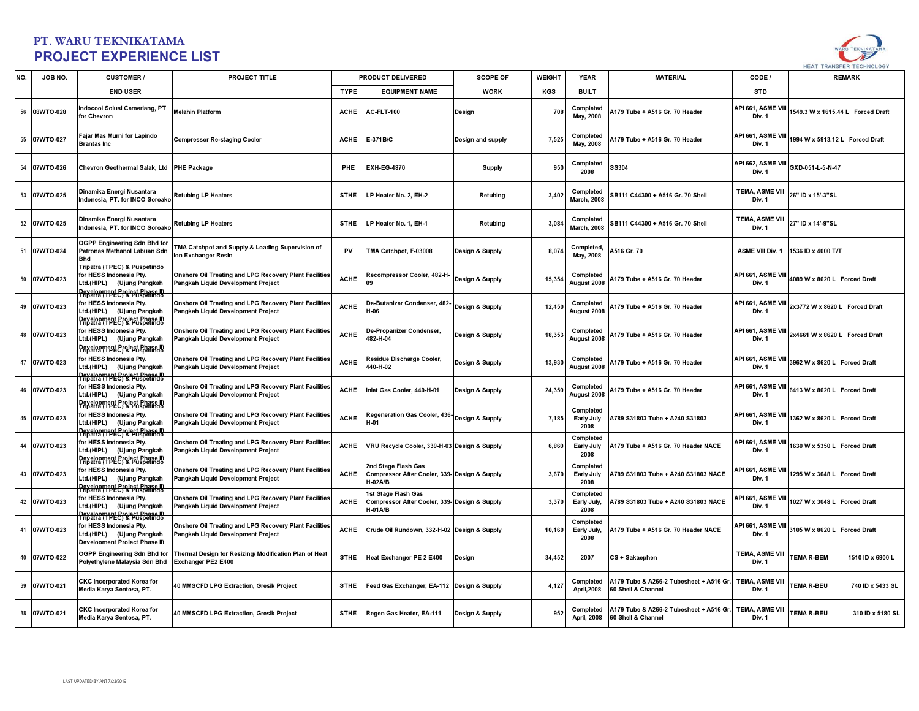

| NO. | JOB NO.      | <b>CUSTOMER/</b>                                                                                                                                      | PROJECT TITLE                                                                                |             | PRODUCT DELIVERED                                                                        | <b>SCOPE OF</b>   | <b>WEIGHT</b> | <b>YEAR</b>                      | <b>MATERIAL</b>                                               | CODE /                           | <b>REMARK</b>                         |
|-----|--------------|-------------------------------------------------------------------------------------------------------------------------------------------------------|----------------------------------------------------------------------------------------------|-------------|------------------------------------------------------------------------------------------|-------------------|---------------|----------------------------------|---------------------------------------------------------------|----------------------------------|---------------------------------------|
|     |              | <b>END USER</b>                                                                                                                                       |                                                                                              | <b>TYPE</b> | <b>EQUIPMENT NAME</b>                                                                    | <b>WORK</b>       | <b>KGS</b>    | <b>BUILT</b>                     |                                                               | <b>STD</b>                       |                                       |
| 56  | 08WTO-028    | ndocool Solusi Cemerlang, PT<br>or Chevron                                                                                                            | <b>Melahin Platform</b>                                                                      | <b>ACHE</b> | AC-FLT-100                                                                               | Design            | 708           | Completed<br>May, 2008           | A179 Tube + A516 Gr. 70 Header                                | API 661, ASME VIII<br>Div. 1     | 1549.3 W x 1615.44 L Forced Draft     |
| 55  | 07WTO-027    | Fajar Mas Murni for Lapindo<br><b>Brantas Inc</b>                                                                                                     | <b>Compressor Re-staging Cooler</b>                                                          | <b>ACHE</b> | E-371B/C                                                                                 | Design and supply | 7,525         | Completed<br>May, 2008           | A179 Tube + A516 Gr. 70 Header                                | API 661, ASME VIII<br>Div. 1     | 1994 W x 5913.12 L Forced Draft       |
|     | 54 07WTO-026 | Chevron Geothermal Salak, Ltd PHE Package                                                                                                             |                                                                                              | PHE         | <b>EXH-EG-4870</b>                                                                       | <b>Supply</b>     | 950           | Completed<br>2008                | SS304                                                         | API 662, ASME VIII<br>Div. 1     | GXD-051-L-5-N-47                      |
|     | 53 07WTO-025 | Dinamika Energi Nusantara<br>ndonesia. PT. for INCO Soroako                                                                                           | <b>Retubing LP Heaters</b>                                                                   | <b>STHE</b> | LP Heater No. 2, EH-2                                                                    | Retubing          | 3,402         | Completed<br><b>March. 2008</b>  | SB111 C44300 + A516 Gr. 70 Shell                              | <b>TEMA, ASME VIII</b><br>Div. 1 | 26" ID x 15'-3"SL                     |
|     | 52 07WTO-025 | Dinamika Energi Nusantara<br>ndonesia. PT. for INCO Soroako                                                                                           | <b>Retubing LP Heaters</b>                                                                   | <b>STHE</b> | LP Heater No. 1, EH-1                                                                    | Retubing          | 3,084         | Completed<br><b>March. 2008</b>  | SB111 C44300 + A516 Gr. 70 Shell                              | TEMA, ASME VIII<br>Div. 1        | 27" ID x 14'-9"SL                     |
| 51  | 07WTO-024    | OGPP Engineering Sdn Bhd for<br>etronas Methanol Labuan Sdn<br><b>Bhd</b>                                                                             | TMA Catchpot and Supply & Loading Supervision of<br>on Exchanger Resin                       | PV          | TMA Catchpot, F-03008                                                                    | Design & Supply   | 8,074         | Completed,<br>May, 2008          | A516 Gr. 70                                                   | <b>ASME VIII Div. 1</b>          | 1536 ID x 4000 T/T                    |
| 50  | 07WTO-023    | Tripatra (TPEC) & Puspetindo<br>for HESS Indonesia Pty.<br>Ltd.(HIPL) (Ujung Pangkah                                                                  | Onshore Oil Treating and LPG Recovery Plant Facilities<br>Pangkah Liquid Development Project | <b>ACHE</b> | ecompressor Cooler, 482-H-                                                               | Design & Supply   | 15,354        | Completed<br>August 2008         | A179 Tube + A516 Gr. 70 Header                                | API 661, ASME VIII<br>Div. 1     | 4089 W x 8620 L Forced Draft          |
|     | 49 07WTO-023 | Development Project Phase II)<br>Tripatra (TPEC) & Puspetindo<br>for HESS Indonesia Pty.<br>Ltd.(HIPL) (Ujung Pangkah                                 | Onshore Oil Treating and LPG Recovery Plant Facilities<br>Pangkah Liquid Development Project | <b>ACHE</b> | De-Butanizer Condenser, 482-<br>$-06$                                                    | Design & Supply   | 12,450        | Completed<br>August 2008         | A179 Tube + A516 Gr. 70 Header                                | API 661, ASME VIII<br>Div. 1     | 2x3772 W x 8620 L Forced Draft        |
|     | 48 07WTO-023 | Development Project Phase II)<br>Tripatra (TPEC) & Puspetindo<br>for HESS Indonesia Pty.<br>Ltd.(HIPL) (Ujung Pangkah                                 | Onshore Oil Treating and LPG Recovery Plant Facilities<br>Pangkah Liquid Development Project | <b>ACHE</b> | De-Propanizer Condenser,<br>482-H-04                                                     | Design & Supply   | 18,353        | Completed<br>August 2008         | A179 Tube + A516 Gr. 70 Header                                | API 661, ASME VIII<br>Div. 1     | 2x4661 W x 8620 L Forced Draft        |
| 47  | 07WTO-023    | Development Project Phase III<br>Tripatra (TPEC) & Puspetindo<br>for HESS Indonesia Pty.<br>Ltd.(HIPL) (Ujung Pangkah                                 | Onshore Oil Treating and LPG Recovery Plant Facilities<br>Pangkah Liquid Development Project | <b>ACHE</b> | <b>Residue Discharge Cooler,</b><br>440-H-02                                             | Design & Supply   | 13,930        | Completed<br>August 2008         | A179 Tube + A516 Gr. 70 Header                                | API 661, ASME VIII<br>Div. 1     | 3962 W x 8620 L Forced Draft          |
| 46  | 07WTO-023    | Development Project Phase II)<br>Tripatra (TPEC) & Puspetindo<br>for HESS Indonesia Pty.<br>Ltd.(HIPL) (Ujung Pangkah                                 | Onshore Oil Treating and LPG Recovery Plant Facilities<br>Pangkah Liquid Development Project | <b>ACHE</b> | Inlet Gas Cooler, 440-H-01                                                               | Design & Supply   | 24,350        | Completed<br>August 2008         | A179 Tube + A516 Gr. 70 Header                                | API 661, ASME VIII<br>Div. 1     | 6413 W x 8620 L Forced Draft          |
| 45  | 07WTO-023    | Development Project Phase II)<br>Tripatra (TPEC) & Puspetindo<br>for HESS Indonesia Pty.<br>Ltd.(HIPL) (Ujung Pangkah                                 | Onshore Oil Treating and LPG Recovery Plant Facilities<br>Pangkah Liquid Development Project | <b>ACHE</b> | <b>Regeneration Gas Cooler, 436-</b><br>$1-01$                                           | Design & Supply   | 7.185         | Completed<br>Early July<br>2008  | A789 S31803 Tube + A240 S31803                                | API 661, ASME VIII<br>Div. 1     | 1362 W x 8620 L Forced Draft          |
| 44  | 07WTO-023    | Development Project Phase III<br>Tripatra (TPEC) & Puspetindo<br>for HESS Indonesia Pty.<br>Ltd.(HIPL) (Ujung Pangkah                                 | Onshore Oil Treating and LPG Recovery Plant Facilities<br>Pangkah Liquid Development Project | <b>ACHE</b> | VRU Recycle Cooler, 339-H-03 Design & Supply                                             |                   | 6,860         | Completed<br>Early July<br>2008  | A179 Tube + A516 Gr. 70 Header NACE                           | API 661, ASME VIII<br>Div. 1     | 1630 W x 5350 L Forced Draft          |
| 43  | 07WTO-023    | Development Project Phase II)<br>Tripatra (TPEC) & Puspetindo<br>for HESS Indonesia Pty.<br>Ltd.(HIPL) (Ujung Pangkah                                 | Onshore Oil Treating and LPG Recovery Plant Facilities<br>Pangkah Liquid Development Project | <b>ACHE</b> | <b>2nd Stage Flash Gas</b><br>Compressor After Cooler, 339- Design & Supply<br>$H-02A/B$ |                   | 3,670         | Completed<br>Early July<br>2008  | 4789 S31803 Tube + A240 S31803 NACE                           | API 661, ASME VIII<br>Div. 1     | 1295 W x 3048 L Forced Draft          |
| 42  | 07WTO-023    | Development Project Phase II)<br>Tripatra (TPEC) & Puspetindo<br>for HESS Indonesia Pty.<br>Ltd.(HIPL) (Ujung Pangkah                                 | Onshore Oil Treating and LPG Recovery Plant Facilities<br>Pangkah Liquid Development Project | <b>ACHE</b> | 1st Stage Flash Gas<br>Compressor After Cooler, 339- Design & Supply<br>H-01A/B          |                   | 3,370         | Completed<br>Early July,<br>2008 | A789 S31803 Tube + A240 S31803 NACE                           | API 661, ASME VIII<br>Div. 1     | 1027 W x 3048 L Forced Draft          |
| 41  | 07WTO-023    | Development Project Phase II)<br>Tripatra (TPEC) & Puspetindo<br>for HESS Indonesia Pty.<br>Ltd.(HIPL) (Ujung Pangkah<br>evelopment Project Phase II) | Onshore Oil Treating and LPG Recovery Plant Facilities<br>Pangkah Liquid Development Project | <b>ACHE</b> | Crude Oil Rundown, 332-H-02 Design & Supply                                              |                   | 10.160        | Completed<br>Early July,<br>2008 | A179 Tube + A516 Gr. 70 Header NACE                           | API 661, ASME VIII<br>Div. 1     | 3105 W x 8620 L Forced Draft          |
| 40  | 07WTO-022    | OGPP Engineering Sdn Bhd for<br>Polyethylene Malaysia Sdn Bhd                                                                                         | Thermal Design for Resizing/ Modification Plan of Heat<br>Exchanger PE2 E400                 | <b>STHE</b> | Heat Exchanger PE 2 E400                                                                 | Design            | 34,452        | 2007                             | CS + Sakaephen                                                | TEMA, ASME VIII<br>Div. 1        | <b>EMA R-BEM</b><br>1510 ID x 6900 L  |
| 39  | 07WTO-021    | <b>CKC Incorporated Korea for</b><br>Media Karya Sentosa, PT.                                                                                         | 40 MMSCFD LPG Extraction, Gresik Project                                                     | <b>STHE</b> | Feed Gas Exchanger, EA-112 Design & Supply                                               |                   | 4,127         | Completed<br><b>April, 2008</b>  | A179 Tube & A266-2 Tubesheet + A516 Gr.<br>60 Shell & Channel | <b>TEMA, ASME VIII</b><br>Div. 1 | <b>EMA R-BEU</b><br>740 ID x 5433 SL  |
|     | 38 07WTO-021 | <b>CKC Incorporated Korea for</b><br>Media Karya Sentosa, PT.                                                                                         | 40 MMSCFD LPG Extraction, Gresik Project                                                     | <b>STHE</b> | Regen Gas Heater, EA-111                                                                 | Design & Supply   | 952           | Completed<br><b>April, 2008</b>  | A179 Tube & A266-2 Tubesheet + A516 Gr.<br>60 Shell & Channel | <b>TEMA, ASME VIII</b><br>Div. 1 | <b>TEMA R-BEU</b><br>310 ID x 5180 SL |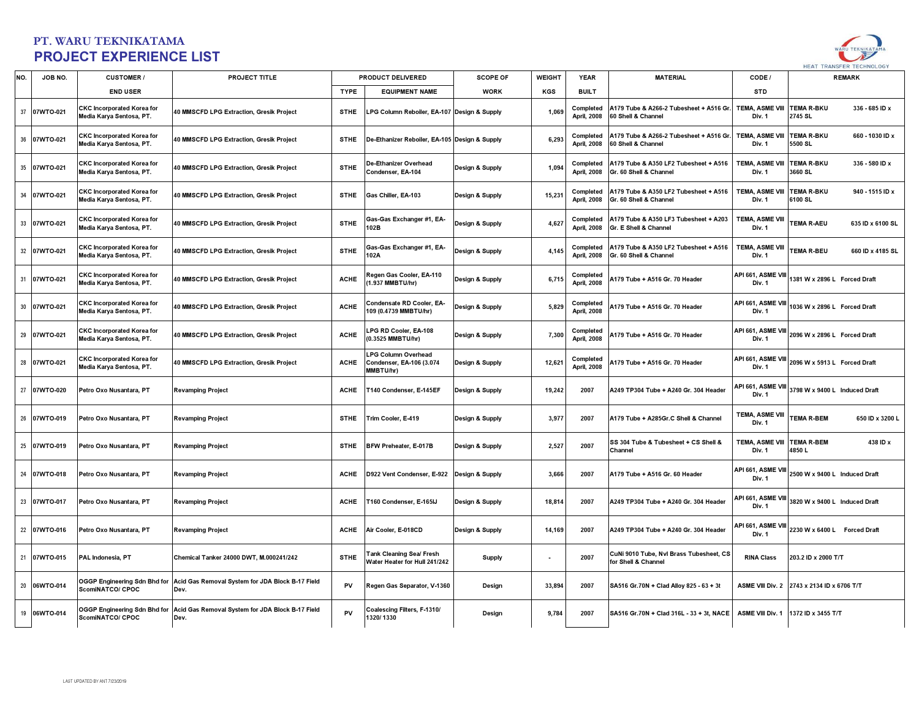

| NO. | JOB NO.      | <b>CUSTOMER/</b>                                              | PROJECT TITLE                                            |             | PRODUCT DELIVERED                                            | <b>SCOPE OF</b> | <b>WEIGHT</b> | <b>YEAR</b>                     | <b>MATERIAL</b>                                                 | CODE /                           | <b>REMARK</b>                                  |
|-----|--------------|---------------------------------------------------------------|----------------------------------------------------------|-------------|--------------------------------------------------------------|-----------------|---------------|---------------------------------|-----------------------------------------------------------------|----------------------------------|------------------------------------------------|
|     |              | <b>END USER</b>                                               |                                                          | <b>TYPE</b> | <b>EQUIPMENT NAME</b>                                        | <b>WORK</b>     | KGS           | <b>BUILT</b>                    |                                                                 | <b>STD</b>                       |                                                |
|     | 37 07WTO-021 | <b>CKC Incorporated Korea for</b><br>Media Karya Sentosa, PT. | 40 MMSCFD LPG Extraction, Gresik Project                 | <b>STHE</b> | LPG Column Reboiler, EA-107 Design & Supply                  |                 | 1,069         | Completed<br><b>April, 2008</b> | A179 Tube & A266-2 Tubesheet + A516 Gr.<br>60 Shell & Channel   | <b>TEMA, ASME VIII</b><br>Div. 1 | <b>EMA R-BKU</b><br>336 - 685 ID x<br>2745 SL  |
|     | 36 07WTO-021 | <b>CKC Incorporated Korea for</b><br>Media Karya Sentosa, PT. | 40 MMSCFD LPG Extraction, Gresik Project                 | <b>STHE</b> | De-Ethanizer Reboiler, EA-105 Design & Supply                |                 | 6,293         | Completed<br><b>April, 2008</b> | A179 Tube & A266-2 Tubesheet + A516 Gr<br>60 Shell & Channel    | <b>TEMA, ASME VIII</b><br>Div. 1 | <b>TEMA R-BKU</b><br>660 - 1030 ID x<br>500 SL |
|     | 35 07WTO-021 | <b>CKC Incorporated Korea for</b><br>Media Karya Sentosa, PT. | 40 MMSCFD LPG Extraction, Gresik Project                 | <b>STHE</b> | De-Ethanizer Overhead<br>Condenser, EA-104                   | Design & Supply | 1,094         | Completed<br><b>April, 2008</b> | A179 Tube & A350 LF2 Tubesheet + A516<br>Gr. 60 Shell & Channel | <b>TEMA, ASME VIII</b><br>Div. 1 | <b>EMA R-BKU</b><br>336 - 580 ID x<br>3660 SL  |
|     | 34 07WTO-021 | <b>CKC Incorporated Korea for</b><br>Media Karya Sentosa, PT. | 40 MMSCFD LPG Extraction, Gresik Project                 | <b>STHE</b> | Gas Chiller, EA-103                                          | Design & Supply | 15,231        | Completed<br><b>April, 2008</b> | A179 Tube & A350 LF2 Tubesheet + A516<br>Gr. 60 Shell & Channel | <b>TEMA, ASME VIII</b><br>Div. 1 | <b>EMA R-BKU</b><br>940 - 1515 ID x<br>6100 SL |
|     | 33 07WTO-021 | <b>CKC Incorporated Korea for</b><br>Media Karya Sentosa, PT. | 40 MMSCFD LPG Extraction, Gresik Project                 | <b>STHE</b> | Gas-Gas Exchanger #1, EA-<br>102B                            | Design & Supply | 4,627         | Completed<br><b>April, 2008</b> | A179 Tube & A350 LF3 Tubesheet + A203<br>Gr. E Shell & Channel  | <b>TEMA, ASME VIII</b><br>Div. 1 | <b>EMA R-AEU</b><br>635 ID x 6100 SL           |
|     | 32 07WTO-021 | <b>CKC Incorporated Korea for</b><br>Media Karya Sentosa, PT. | 40 MMSCFD LPG Extraction, Gresik Project                 | <b>STHE</b> | <b>Gas-Gas Exchanger #1, EA-</b><br>102A                     | Design & Supply | 4,145         | Completed<br><b>April, 2008</b> | A179 Tube & A350 LF2 Tubesheet + A516<br>Gr. 60 Shell & Channel | <b>TEMA, ASME VIII</b><br>Div. 1 | <b>EMA R-BEU</b><br>660 ID x 4185 SL           |
|     | 31 07WTO-021 | <b>CKC Incorporated Korea for</b><br>Media Karya Sentosa, PT. | 40 MMSCFD LPG Extraction, Gresik Project                 | <b>ACHE</b> | <b>Regen Gas Cooler, EA-110</b><br>1.937 MMBTU/hr)           | Design & Supply | 6,715         | Completed<br><b>April, 2008</b> | A179 Tube + A516 Gr. 70 Header                                  | API 661, ASME VII<br>Div. 1      | 381 W x 2896 L Forced Draft                    |
|     | 30 07WTO-021 | <b>CKC Incorporated Korea for</b><br>Media Karya Sentosa, PT. | 40 MMSCFD LPG Extraction, Gresik Project                 | <b>ACHE</b> | Condensate RD Cooler, EA-<br>109 (0.4739 MMBTU/hr)           | Design & Supply | 5,829         | Completed<br><b>April, 2008</b> | A179 Tube + A516 Gr. 70 Header                                  | API 661, ASME VIII<br>Div. 1     | 036 W x 2896 L Forced Draft                    |
|     | 29 07WTO-021 | <b>CKC Incorporated Korea for</b><br>Media Karya Sentosa, PT. | 40 MMSCFD LPG Extraction, Gresik Project                 | <b>ACHE</b> | PG RD Cooler, EA-108<br>0.3525 MMBTU/hr)                     | Design & Supply | 7,300         | Completed<br><b>April, 2008</b> | A179 Tube + A516 Gr. 70 Header                                  | API 661, ASME VIII<br>Div. 1     | 2096 W x 2896 L Forced Draft                   |
|     | 28 07WTO-021 | <b>CKC Incorporated Korea for</b><br>Media Karya Sentosa, PT. | 40 MMSCFD LPG Extraction, Gresik Project                 | <b>ACHE</b> | .PG Column Overhead<br>Condenser, EA-106 (3.074<br>MMBTU/hr) | Design & Supply | 12,621        | Completed<br><b>April, 2008</b> | A179 Tube + A516 Gr. 70 Header                                  | API 661, ASME VIII<br>Div. 1     | 2096 W x 5913 L Forced Draft                   |
| 27  | 07WTO-020    | Petro Oxo Nusantara, PT                                       | <b>Revamping Project</b>                                 | <b>ACHE</b> | T140 Condenser, E-145EF                                      | Design & Supply | 19,242        | 2007                            | A249 TP304 Tube + A240 Gr. 304 Header                           | API 661, ASME VIII<br>Div. 1     | 3798 W x 9400 L Induced Draft                  |
|     | 26 07WTO-019 | Petro Oxo Nusantara, PT                                       | <b>Revamping Project</b>                                 | <b>STHE</b> | Trim Cooler, E-419                                           | Design & Supply | 3,977         | 2007                            | A179 Tube + A285Gr.C Shell & Channel                            | TEMA, ASME VIII<br>Div. 1        | <b>EMA R-BEM</b><br>650 ID x 3200 L            |
|     | 25 07WTO-019 | Petro Oxo Nusantara, PT                                       | <b>Revamping Project</b>                                 | <b>STHE</b> | BFW Preheater, E-017B                                        | Design & Supply | 2,527         | 2007                            | SS 304 Tube & Tubesheet + CS Shell &<br>Channel                 | <b>TEMA, ASME VIII</b><br>Div. 1 | <b>FEMA R-BEM</b><br>438 ID x<br>1850 L        |
|     | 24 07WTO-018 | Petro Oxo Nusantara, PT                                       | <b>Revamping Project</b>                                 | <b>ACHE</b> | D922 Vent Condenser, E-922 Design & Supply                   |                 | 3,666         | 2007                            | A179 Tube + A516 Gr. 60 Header                                  | API 661, ASME VII<br>Div. 1      | 2500 W x 9400 L Induced Draft                  |
|     | 23 07WTO-017 | Petro Oxo Nusantara, PT                                       | <b>Revamping Project</b>                                 | <b>ACHE</b> | T160 Condenser, E-165IJ                                      | Design & Supply | 18,814        | 2007                            | A249 TP304 Tube + A240 Gr. 304 Header                           | API 661, ASME VIII<br>Div. 1     | 3820 W x 9400 L Induced Draft                  |
|     | 22 07WTO-016 | Petro Oxo Nusantara, PT                                       | <b>Revamping Project</b>                                 | <b>ACHE</b> | Air Cooler, E-018CD                                          | Design & Supply | 14,169        | 2007                            | A249 TP304 Tube + A240 Gr. 304 Header                           | API 661, ASME VIII<br>Div. 1     | 2230 W x 6400 L Forced Draft                   |
|     | 21 07WTO-015 | PAL Indonesia, PT                                             | Chemical Tanker 24000 DWT, M.000241/242                  | <b>STHE</b> | ank Cleaning Sea/ Fresh<br>Water Heater for Hull 241/242     | <b>Supply</b>   |               | 2007                            | CuNi 9010 Tube, Nvl Brass Tubesheet, CS<br>for Shell & Channel  | <b>RINA Class</b>                | 203.2 ID x 2000 T/T                            |
|     | 20 06WTO-014 | OGGP Engineering Sdn Bhd for<br>ScomiNATCO/ CPOC              | Acid Gas Removal System for JDA Block B-17 Field<br>Dev. | PV          | Regen Gas Separator, V-1360                                  | Design          | 33,894        | 2007                            | SA516 Gr.70N + Clad Alloy 825 - 63 + 3t                         | <b>ASME VIII Div. 2</b>          | 2743 x 2134 ID x 6706 T/T                      |
|     | 19 06WTO-014 | OGGP Engineering Sdn Bhd for<br>ScomiNATCO/ CPOC              | Acid Gas Removal System for JDA Block B-17 Field<br>Dev. | PV          | Coalescing Filters, F-1310/<br>1320/1330                     | Design          | 9,784         | 2007                            | SA516 Gr.70N + Clad 316L - 33 + 3t, NACE                        | ASME VIII Div. 1                 | 1372 ID x 3455 T/T                             |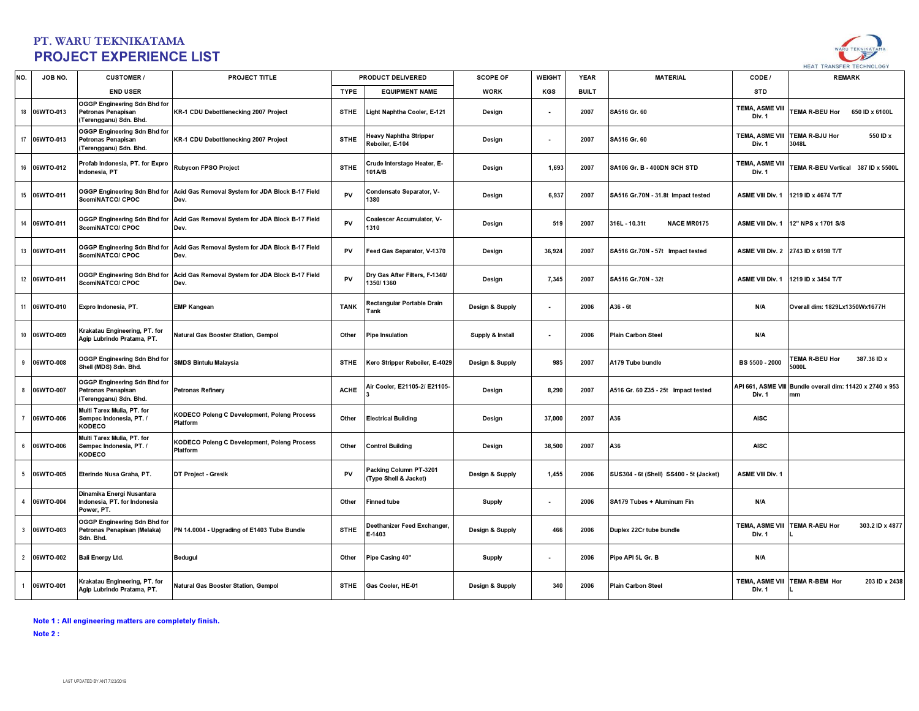

| NO.             | JOB NO.      | <b>CUSTOMER/</b>                                                            | <b>PROJECT TITLE</b>                                     |             | PRODUCT DELIVERED                                | <b>SCOPE OF</b>  | <b>WEIGHT</b>            | <b>YEAR</b>  | <b>MATERIAL</b>                         | CODE /                       | <b>REMARK</b>                                 |
|-----------------|--------------|-----------------------------------------------------------------------------|----------------------------------------------------------|-------------|--------------------------------------------------|------------------|--------------------------|--------------|-----------------------------------------|------------------------------|-----------------------------------------------|
|                 |              | <b>END USER</b>                                                             |                                                          | <b>TYPE</b> | <b>EQUIPMENT NAME</b>                            | <b>WORK</b>      | KGS                      | <b>BUILT</b> |                                         | <b>STD</b>                   |                                               |
| 18              | 06WTO-013    | OGGP Engineering Sdn Bhd for<br>Petronas Penapisan<br>Terengganu) Sdn. Bhd. | KR-1 CDU Debottlenecking 2007 Project                    | <b>STHE</b> | ight Naphtha Cooler, E-121.                      | Design           | ٠                        | 2007         | SA516 Gr. 60                            | TEMA, ASME VIII<br>Div. 1    | <b>FEMA R-BEU Hor</b><br>650 ID x 6100L       |
| 17              | 06WTO-013    | OGGP Engineering Sdn Bhd for<br>Petronas Penapisan<br>Terengganu) Sdn. Bhd. | KR-1 CDU Debottlenecking 2007 Project                    | <b>STHE</b> | <b>leavy Naphtha Stripper</b><br>Reboiler. E-104 | Design           | $\overline{\phantom{a}}$ | 2007         | SA516 Gr. 60                            | TEMA, ASME VIII<br>Div. 1    | TEMA R-BJU Hor<br>550 ID x<br>3048L           |
| 16              | 06WTO-012    | Profab Indonesia, PT. for Expro<br>ndonesia. PT                             | Rubycon FPSO Project                                     | <b>STHE</b> | Crude Interstage Heater, E-<br>101A/B            | Design           | 1,693                    | 2007         | SA106 Gr. B - 400DN SCH STD             | TEMA, ASME VIII<br>Div. 1    | TEMA R-BEU Vertical 387 ID x 5500L            |
| 15              | 06WTO-011    | OGGP Engineering Sdn Bhd for<br>ScomiNATCO/ CPOC                            | Acid Gas Removal System for JDA Block B-17 Field<br>Dev. | PV          | Condensate Separator, V-<br>1380                 | Design           | 6,937                    | 2007         | SA516 Gr.70N - 31.8t Impact tested      | <b>ASME VIII Div. 1</b>      | 1219 ID x 4674 T/T                            |
| 14              | 06WTO-011    | <b>OGGP Engineering Sdn Bhd for</b><br>ScomiNATCO/ CPOC                     | Acid Gas Removal System for JDA Block B-17 Field<br>Dev. | PV          | Coalescer Accumulator, V-<br>1310                | Design           | 519                      | 2007         | 316L - 10.31t<br><b>NACE MR0175</b>     |                              | ASME VIII Div. 1 12" NPS x 1701 S/S           |
| 13              | 06WTO-011    | <b>OGGP Engineering Sdn Bhd for</b><br>ScomiNATCO/ CPOC                     | Acid Gas Removal System for JDA Block B-17 Field<br>Dev. | PV          | Feed Gas Separator, V-1370                       | Design           | 36,924                   | 2007         | SA516 Gr.70N - 57t Impact tested        |                              | ASME VIII Div. 2 2743 ID x 6198 T/T           |
|                 | 12 06WTO-011 | <b>DGGP Engineering Sdn Bhd for</b><br>ScomiNATCO/ CPOC                     | Acid Gas Removal System for JDA Block B-17 Field<br>Dev. | PV          | Dry Gas After Filters, F-1340/<br>1350/1360      | Design           | 7,345                    | 2007         | SA516 Gr.70N - 32t                      | <b>ASME VIII Div. 1</b>      | 1219 ID x 3454 T/T                            |
| 11              | 06WTO-010    | Expro Indonesia, PT.                                                        | <b>EMP Kangean</b>                                       | <b>TANK</b> | Rectangular Portable Drain<br>'ank               | Design & Supply  | $\blacksquare$           | 2006         | A36 - 6t                                | N/A                          | Overall dim: 1829Lx1350Wx1677H                |
|                 | 10 06WTO-009 | Krakatau Engineering, PT. for<br>Agip Lubrindo Pratama, PT.                 | Natural Gas Booster Station, Gempol                      | Other       | <b>Pipe Insulation</b>                           | Supply & Install |                          | 2006         | <b>Plain Carbon Steel</b>               | N/A                          |                                               |
| 9               | 06WTO-008    | OGGP Engineering Sdn Bhd for<br>Shell (MDS) Sdn. Bhd.                       | SMDS Bintulu Malaysia                                    | <b>STHE</b> | Gero Stripper Reboiler, E-4029                   | Design & Supply  | 985                      | 2007         | A179 Tube bundle                        | BS 5500 - 2000               | <b>FEMA R-BEU Hor</b><br>387.36 ID x<br>5000L |
| 8               | 06WTO-007    | OGGP Engineering Sdn Bhd for<br>Petronas Penapisan<br>Terengganu) Sdn. Bhd. | <b>Petronas Refinery</b>                                 | <b>ACHE</b> | ir Cooler, E21105-2/ E21105-                     | Design           | 8,290                    | 2007         | A516 Gr. 60 Z35 - 25t Impact tested     | API 661, ASME VIII<br>Div. 1 | Bundle overall dim: 11420 x 2740 x 953<br>mm  |
| $\overline{7}$  | 06WTO-006    | Multi Tarex Mulia, PT. for<br>Sempec Indonesia, PT. /<br>KODECO             | KODECO Poleng C Development, Poleng Process<br>Platform  | Other       | <b>Electrical Building</b>                       | Design           | 37.000                   | 2007         | A36                                     | <b>AISC</b>                  |                                               |
| 6               | 06WTO-006    | Multi Tarex Mulia, PT. for<br>Sempec Indonesia, PT. /<br>KODECO             | KODECO Poleng C Development, Poleng Process<br>Platform  | Other       | Control Building                                 | Design           | 38,500                   | 2007         | A36                                     | <b>AISC</b>                  |                                               |
| $5\overline{5}$ | 06WTO-005    | Eterindo Nusa Graha, PT.                                                    | DT Project - Gresik                                      | PV          | Packing Column PT-3201<br>(Type Shell & Jacket)  | Design & Supply  | 1,455                    | 2006         | SUS304 - 6t (Shell) SS400 - 5t (Jacket) | <b>ASME VIII Div. 1</b>      |                                               |
| $\overline{a}$  | 06WTO-004    | Dinamika Energi Nusantara<br>ndonesia, PT. for Indonesia<br>Power, PT.      |                                                          | Other       | Finned tube                                      | <b>Supply</b>    |                          | 2006         | SA179 Tubes + Aluminum Fin              | N/A                          |                                               |
| $\overline{3}$  | 06WTO-003    | OGGP Engineering Sdn Bhd for<br>Petronas Penapisan (Melaka)<br>Sdn. Bhd.    | PN 14.0004 - Upgrading of E1403 Tube Bundle              | <b>STHE</b> | Deethanizer Feed Exchanger,<br>E-1403            | Design & Supply  | 466                      | 2006         | Duplex 22Cr tube bundle                 | TEMA, ASME VIII<br>Div. 1    | <b>TEMA R-AEU Hor</b><br>303.2 ID x 4877      |
| $\overline{2}$  | 06WTO-002    | <b>Ball Energy Ltd.</b>                                                     | <b>Bedugul</b>                                           | Other       | Pipe Casing 40"                                  | <b>Supply</b>    |                          | 2006         | Pipe API 5L Gr. B                       | N/A                          |                                               |
|                 | 06WTO-001    | Krakatau Engineering, PT. for<br>Agip Lubrindo Pratama, PT.                 | Natural Gas Booster Station, Gempol                      | <b>STHE</b> | Gas Cooler, HE-01                                | Design & Supply  | 340                      | 2006         | <b>Plain Carbon Steel</b>               | TEMA, ASME VIII<br>Div. 1    | <b>TEMA R-BEM Hor</b><br>203 ID x 2438        |

Note 1 : All engineering matters are completely finish.

Note 2 :